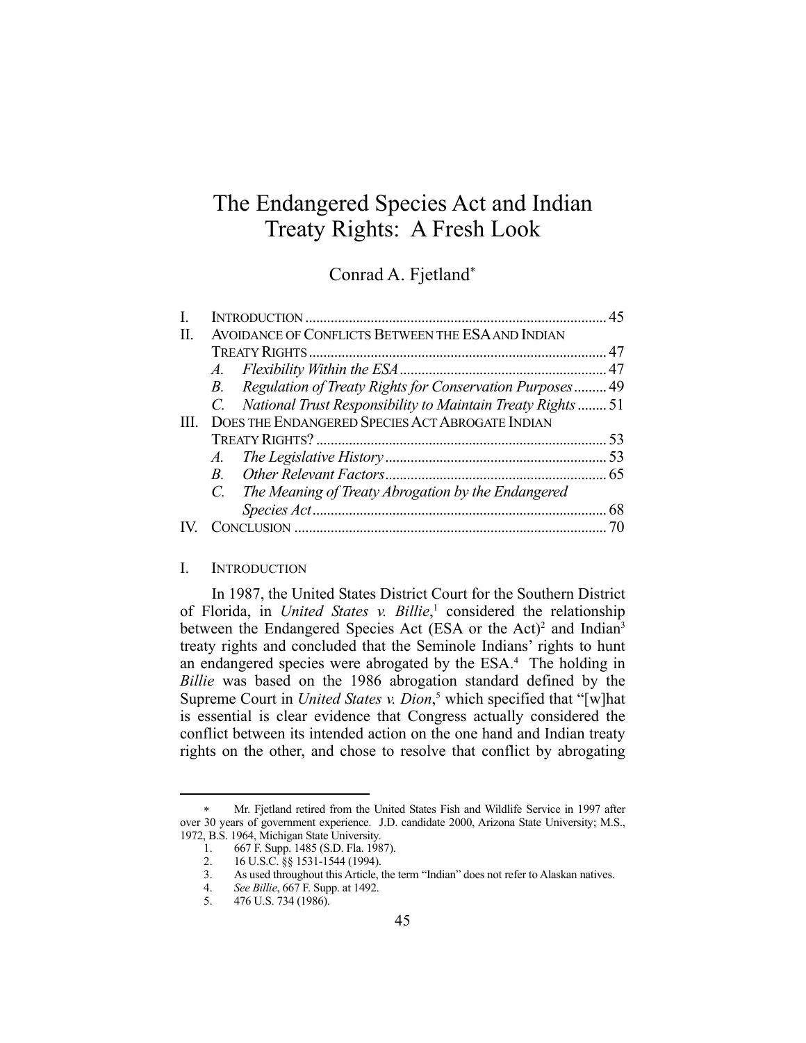# The Endangered Species Act and Indian Treaty Rights: A Fresh Look

Conrad A. Fjetland\*

|    |                                                        |                                                                | -45 |
|----|--------------------------------------------------------|----------------------------------------------------------------|-----|
| H. | AVOIDANCE OF CONFLICTS BETWEEN THE ESA AND INDIAN      |                                                                |     |
|    |                                                        |                                                                |     |
|    |                                                        |                                                                |     |
|    |                                                        | B. Regulation of Treaty Rights for Conservation Purposes 49    |     |
|    |                                                        | C. National Trust Responsibility to Maintain Treaty Rights  51 |     |
|    | <b>DOES THE ENDANGERED SPECIES ACT ABROGATE INDIAN</b> |                                                                |     |
|    |                                                        |                                                                |     |
|    |                                                        |                                                                |     |
|    |                                                        |                                                                |     |
|    |                                                        | C. The Meaning of Treaty Abrogation by the Endangered          |     |
|    |                                                        |                                                                | 68  |
|    |                                                        |                                                                |     |

#### I. INTRODUCTION

 In 1987, the United States District Court for the Southern District of Florida, in *United States v. Billie*, <sup>1</sup> considered the relationship between the Endangered Species Act (ESA or the Act)<sup>2</sup> and Indian<sup>3</sup> treaty rights and concluded that the Seminole Indians' rights to hunt an endangered species were abrogated by the ESA.<sup>4</sup> The holding in *Billie* was based on the 1986 abrogation standard defined by the Supreme Court in *United States v. Dion*, <sup>5</sup> which specified that "[w]hat is essential is clear evidence that Congress actually considered the conflict between its intended action on the one hand and Indian treaty rights on the other, and chose to resolve that conflict by abrogating

Mr. Fjetland retired from the United States Fish and Wildlife Service in 1997 after over 30 years of government experience. J.D. candidate 2000, Arizona State University; M.S., 1972, B.S. 1964, Michigan State University.

<sup>1. 667</sup> F. Supp. 1485 (S.D. Fla. 1987).

 <sup>2. 16</sup> U.S.C. §§ 1531-1544 (1994).

 <sup>3.</sup> As used throughout this Article, the term "Indian" does not refer to Alaskan natives.

 <sup>4.</sup> *See Billie*, 667 F. Supp. at 1492.

 <sup>5. 476</sup> U.S. 734 (1986).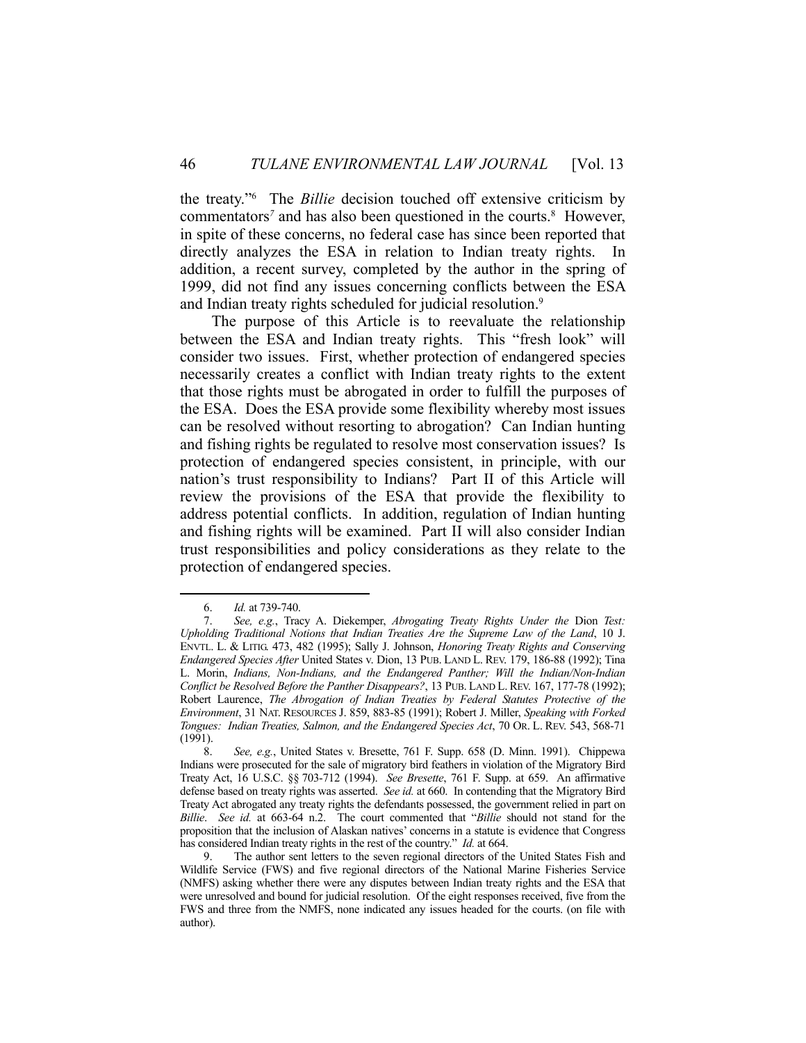the treaty."6 The *Billie* decision touched off extensive criticism by commentators<sup>7</sup> and has also been questioned in the courts.<sup>8</sup> However, in spite of these concerns, no federal case has since been reported that directly analyzes the ESA in relation to Indian treaty rights. In addition, a recent survey, completed by the author in the spring of 1999, did not find any issues concerning conflicts between the ESA and Indian treaty rights scheduled for judicial resolution.<sup>9</sup>

 The purpose of this Article is to reevaluate the relationship between the ESA and Indian treaty rights. This "fresh look" will consider two issues. First, whether protection of endangered species necessarily creates a conflict with Indian treaty rights to the extent that those rights must be abrogated in order to fulfill the purposes of the ESA. Does the ESA provide some flexibility whereby most issues can be resolved without resorting to abrogation? Can Indian hunting and fishing rights be regulated to resolve most conservation issues? Is protection of endangered species consistent, in principle, with our nation's trust responsibility to Indians? Part II of this Article will review the provisions of the ESA that provide the flexibility to address potential conflicts. In addition, regulation of Indian hunting and fishing rights will be examined. Part II will also consider Indian trust responsibilities and policy considerations as they relate to the protection of endangered species.

 <sup>6.</sup> *Id.* at 739-740.

 <sup>7.</sup> *See, e.g.*, Tracy A. Diekemper, *Abrogating Treaty Rights Under the* Dion *Test: Upholding Traditional Notions that Indian Treaties Are the Supreme Law of the Land*, 10 J. ENVTL. L. & LITIG. 473, 482 (1995); Sally J. Johnson, *Honoring Treaty Rights and Conserving Endangered Species After* United States v. Dion, 13 PUB. LAND L. REV. 179, 186-88 (1992); Tina L. Morin, *Indians, Non-Indians, and the Endangered Panther; Will the Indian/Non-Indian Conflict be Resolved Before the Panther Disappears?*, 13 PUB. LAND L. REV. 167, 177-78 (1992); Robert Laurence, *The Abrogation of Indian Treaties by Federal Statutes Protective of the Environment*, 31 NAT. RESOURCES J. 859, 883-85 (1991); Robert J. Miller, *Speaking with Forked Tongues: Indian Treaties, Salmon, and the Endangered Species Act*, 70 OR. L. REV. 543, 568-71 (1991).

 <sup>8.</sup> *See, e.g.*, United States v. Bresette, 761 F. Supp. 658 (D. Minn. 1991). Chippewa Indians were prosecuted for the sale of migratory bird feathers in violation of the Migratory Bird Treaty Act, 16 U.S.C. §§ 703-712 (1994). *See Bresette*, 761 F. Supp. at 659. An affirmative defense based on treaty rights was asserted. *See id.* at 660. In contending that the Migratory Bird Treaty Act abrogated any treaty rights the defendants possessed, the government relied in part on *Billie*. *See id.* at 663-64 n.2.The court commented that "*Billie* should not stand for the proposition that the inclusion of Alaskan natives' concerns in a statute is evidence that Congress has considered Indian treaty rights in the rest of the country." *Id.* at 664.

 <sup>9.</sup> The author sent letters to the seven regional directors of the United States Fish and Wildlife Service (FWS) and five regional directors of the National Marine Fisheries Service (NMFS) asking whether there were any disputes between Indian treaty rights and the ESA that were unresolved and bound for judicial resolution. Of the eight responses received, five from the FWS and three from the NMFS, none indicated any issues headed for the courts. (on file with author).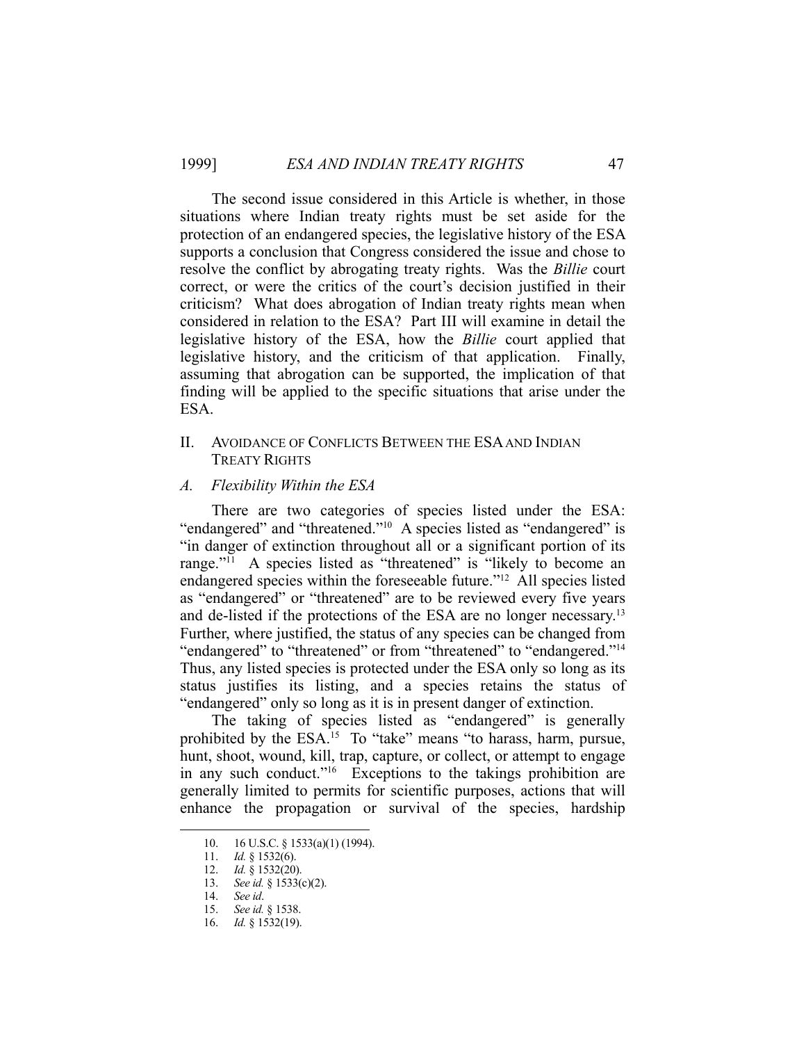The second issue considered in this Article is whether, in those situations where Indian treaty rights must be set aside for the protection of an endangered species, the legislative history of the ESA supports a conclusion that Congress considered the issue and chose to resolve the conflict by abrogating treaty rights. Was the *Billie* court correct, or were the critics of the court's decision justified in their criticism? What does abrogation of Indian treaty rights mean when considered in relation to the ESA? Part III will examine in detail the legislative history of the ESA, how the *Billie* court applied that legislative history, and the criticism of that application. Finally, assuming that abrogation can be supported, the implication of that finding will be applied to the specific situations that arise under the ESA.

## II. AVOIDANCE OF CONFLICTS BETWEEN THE ESA AND INDIAN TREATY RIGHTS

## *A. Flexibility Within the ESA*

 There are two categories of species listed under the ESA: "endangered" and "threatened."<sup>10</sup> A species listed as "endangered" is "in danger of extinction throughout all or a significant portion of its range."<sup>11</sup> A species listed as "threatened" is "likely to become an endangered species within the foreseeable future."12 All species listed as "endangered" or "threatened" are to be reviewed every five years and de-listed if the protections of the ESA are no longer necessary.13 Further, where justified, the status of any species can be changed from "endangered" to "threatened" or from "threatened" to "endangered."<sup>14</sup> Thus, any listed species is protected under the ESA only so long as its status justifies its listing, and a species retains the status of "endangered" only so long as it is in present danger of extinction.

The taking of species listed as "endangered" is generally prohibited by the ESA.<sup>15</sup> To "take" means "to harass, harm, pursue, hunt, shoot, wound, kill, trap, capture, or collect, or attempt to engage in any such conduct."16 Exceptions to the takings prohibition are generally limited to permits for scientific purposes, actions that will enhance the propagation or survival of the species, hardship

<sup>10. 16</sup> U.S.C. § 1533(a)(1) (1994).

 <sup>11.</sup> *Id.* § 1532(6).

 <sup>12.</sup> *Id.* § 1532(20).

 <sup>13.</sup> *See id.* § 1533(c)(2).

 <sup>14.</sup> *See id*.

 <sup>15.</sup> *See id.* § 1538.

 <sup>16.</sup> *Id.* § 1532(19).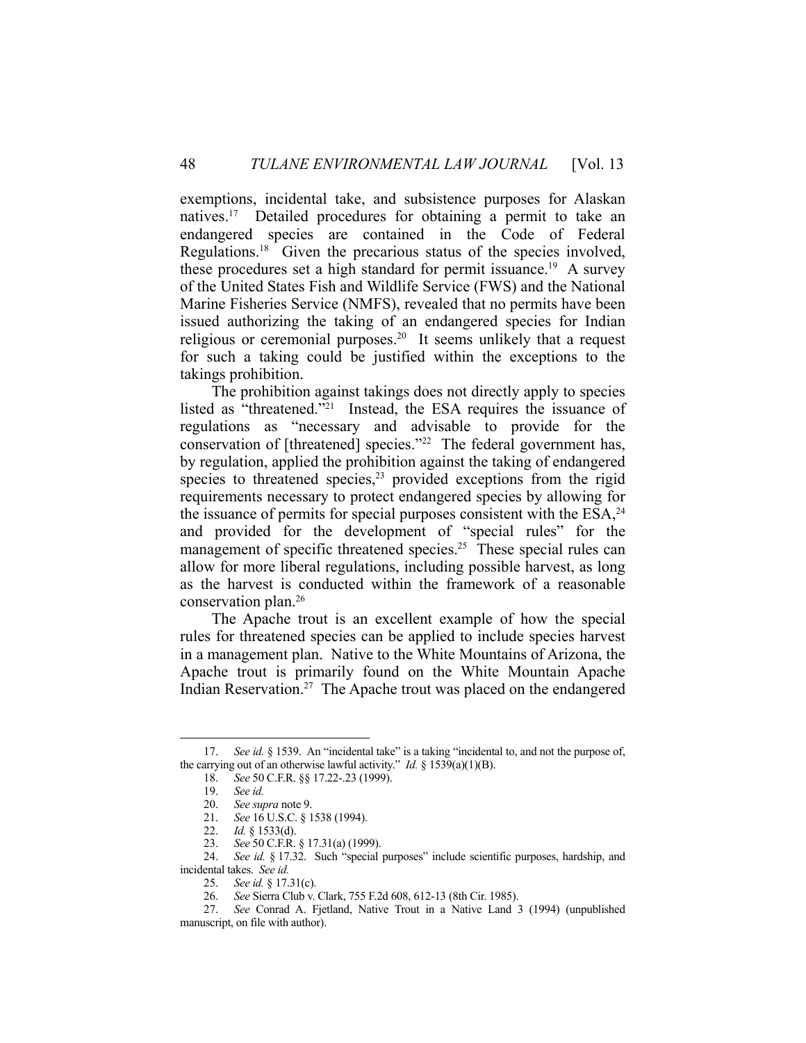exemptions, incidental take, and subsistence purposes for Alaskan natives.17 Detailed procedures for obtaining a permit to take an endangered species are contained in the Code of Federal Regulations.18 Given the precarious status of the species involved, these procedures set a high standard for permit issuance.19 A survey of the United States Fish and Wildlife Service (FWS) and the National Marine Fisheries Service (NMFS), revealed that no permits have been issued authorizing the taking of an endangered species for Indian religious or ceremonial purposes.<sup>20</sup> It seems unlikely that a request for such a taking could be justified within the exceptions to the takings prohibition.

 The prohibition against takings does not directly apply to species listed as "threatened."21 Instead, the ESA requires the issuance of regulations as "necessary and advisable to provide for the conservation of [threatened] species."<sup>22</sup> The federal government has, by regulation, applied the prohibition against the taking of endangered species to threatened species, $23$  provided exceptions from the rigid requirements necessary to protect endangered species by allowing for the issuance of permits for special purposes consistent with the  $ESA<sub>24</sub>$ and provided for the development of "special rules" for the management of specific threatened species.<sup>25</sup> These special rules can allow for more liberal regulations, including possible harvest, as long as the harvest is conducted within the framework of a reasonable conservation plan.26

 The Apache trout is an excellent example of how the special rules for threatened species can be applied to include species harvest in a management plan. Native to the White Mountains of Arizona, the Apache trout is primarily found on the White Mountain Apache Indian Reservation.<sup>27</sup> The Apache trout was placed on the endangered

 <sup>17.</sup> *See id.* § 1539. An "incidental take" is a taking "incidental to, and not the purpose of, the carrying out of an otherwise lawful activity." *Id.* § 1539(a)(1)(B).

 <sup>18.</sup> *See* 50 C.F.R. §§ 17.22-.23 (1999).

 <sup>19.</sup> *See id.*

 <sup>20.</sup> *See supra* note 9.

 <sup>21.</sup> *See* 16 U.S.C. § 1538 (1994).

 <sup>22.</sup> *Id.* § 1533(d).

 <sup>23.</sup> *See* 50 C.F.R. § 17.31(a) (1999).

 <sup>24.</sup> *See id.* § 17.32. Such "special purposes" include scientific purposes, hardship, and incidental takes. *See id.* 

 <sup>25.</sup> *See id.* § 17.31(c).

 <sup>26.</sup> *See* Sierra Club v. Clark, 755 F.2d 608, 612-13 (8th Cir. 1985).

 <sup>27.</sup> *See* Conrad A. Fjetland, Native Trout in a Native Land 3 (1994) (unpublished manuscript, on file with author).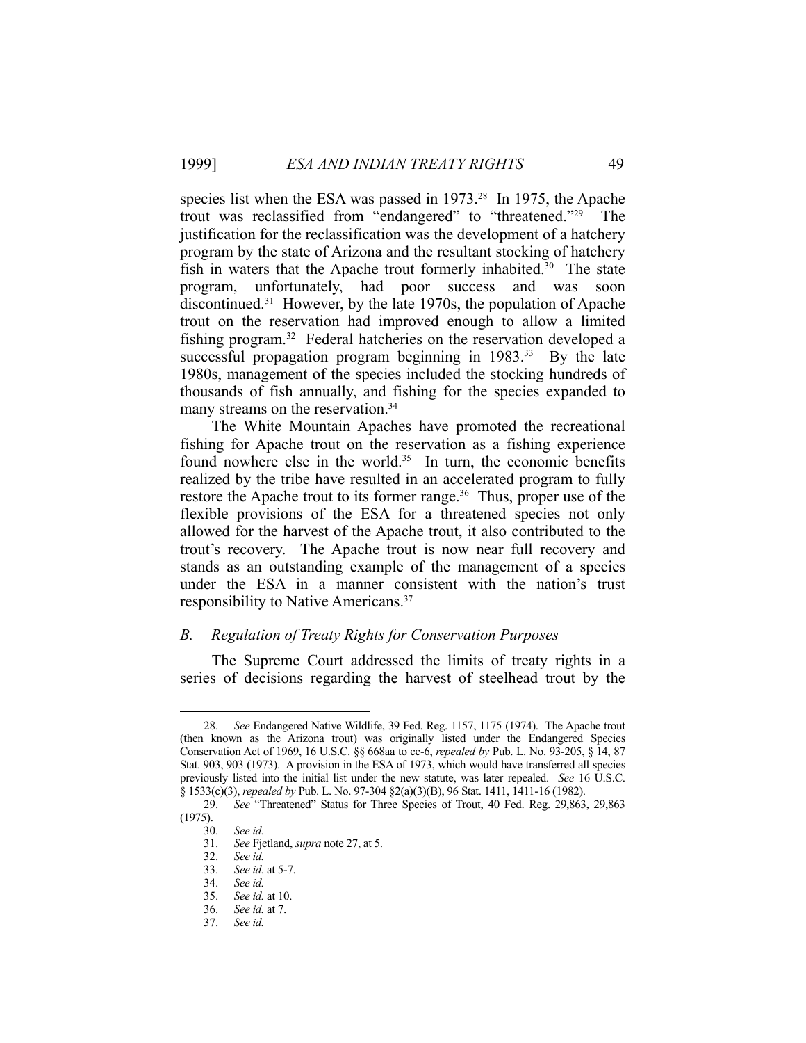species list when the ESA was passed in 1973.<sup>28</sup> In 1975, the Apache trout was reclassified from "endangered" to "threatened."29 The justification for the reclassification was the development of a hatchery program by the state of Arizona and the resultant stocking of hatchery fish in waters that the Apache trout formerly inhabited.<sup>30</sup> The state program, unfortunately, had poor success and was soon discontinued.31 However, by the late 1970s, the population of Apache trout on the reservation had improved enough to allow a limited fishing program.<sup>32</sup> Federal hatcheries on the reservation developed a successful propagation program beginning in 1983.<sup>33</sup> By the late 1980s, management of the species included the stocking hundreds of thousands of fish annually, and fishing for the species expanded to many streams on the reservation.<sup>34</sup>

 The White Mountain Apaches have promoted the recreational fishing for Apache trout on the reservation as a fishing experience found nowhere else in the world. $35$  In turn, the economic benefits realized by the tribe have resulted in an accelerated program to fully restore the Apache trout to its former range.<sup>36</sup> Thus, proper use of the flexible provisions of the ESA for a threatened species not only allowed for the harvest of the Apache trout, it also contributed to the trout's recovery. The Apache trout is now near full recovery and stands as an outstanding example of the management of a species under the ESA in a manner consistent with the nation's trust responsibility to Native Americans.37

## *B. Regulation of Treaty Rights for Conservation Purposes*

 The Supreme Court addressed the limits of treaty rights in a series of decisions regarding the harvest of steelhead trout by the

 <sup>28.</sup> *See* Endangered Native Wildlife, 39 Fed. Reg. 1157, 1175 (1974). The Apache trout (then known as the Arizona trout) was originally listed under the Endangered Species Conservation Act of 1969, 16 U.S.C. §§ 668aa to cc-6, *repealed by* Pub. L. No. 93-205, § 14, 87 Stat. 903, 903 (1973). A provision in the ESA of 1973, which would have transferred all species previously listed into the initial list under the new statute, was later repealed. *See* 16 U.S.C. § 1533(c)(3), *repealed by* Pub. L. No. 97-304 §2(a)(3)(B), 96 Stat. 1411, 1411-16 (1982).

 <sup>29.</sup> *See* "Threatened" Status for Three Species of Trout, 40 Fed. Reg. 29,863, 29,863 (1975).

 <sup>30.</sup> *See id.*

 <sup>31.</sup> *See* Fjetland, *supra* note 27, at 5.

 <sup>32.</sup> *See id.*

 <sup>33.</sup> *See id.* at 5-7.

 <sup>34.</sup> *See id.* 

 <sup>35.</sup> *See id.* at 10.

 <sup>36.</sup> *See id.* at 7.

 <sup>37.</sup> *See id.*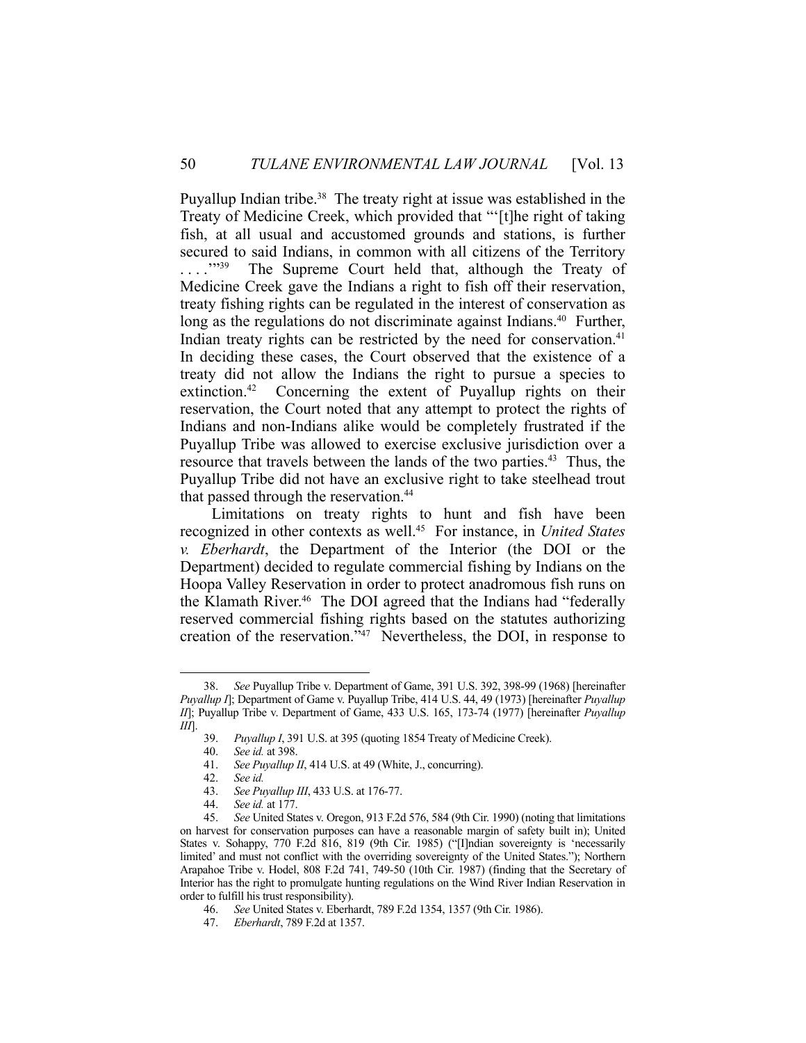Puyallup Indian tribe.<sup>38</sup> The treaty right at issue was established in the Treaty of Medicine Creek, which provided that "'[t]he right of taking fish, at all usual and accustomed grounds and stations, is further secured to said Indians, in common with all citizens of the Territory ...."<sup>39</sup> The Supreme Court held that, although the Treaty of Medicine Creek gave the Indians a right to fish off their reservation, treaty fishing rights can be regulated in the interest of conservation as long as the regulations do not discriminate against Indians.<sup>40</sup> Further, Indian treaty rights can be restricted by the need for conservation.<sup>41</sup> In deciding these cases, the Court observed that the existence of a treaty did not allow the Indians the right to pursue a species to extinction.<sup>42</sup> Concerning the extent of Puyallup rights on their reservation, the Court noted that any attempt to protect the rights of Indians and non-Indians alike would be completely frustrated if the Puyallup Tribe was allowed to exercise exclusive jurisdiction over a resource that travels between the lands of the two parties.<sup>43</sup> Thus, the Puyallup Tribe did not have an exclusive right to take steelhead trout that passed through the reservation.<sup>44</sup>

 Limitations on treaty rights to hunt and fish have been recognized in other contexts as well.45 For instance, in *United States v. Eberhardt*, the Department of the Interior (the DOI or the Department) decided to regulate commercial fishing by Indians on the Hoopa Valley Reservation in order to protect anadromous fish runs on the Klamath River.<sup>46</sup> The DOI agreed that the Indians had "federally reserved commercial fishing rights based on the statutes authorizing creation of the reservation."47 Nevertheless, the DOI, in response to

 <sup>38.</sup> *See* Puyallup Tribe v. Department of Game, 391 U.S. 392, 398-99 (1968) [hereinafter *Puyallup I*]; Department of Game v. Puyallup Tribe, 414 U.S. 44, 49 (1973) [hereinafter *Puyallup II*]; Puyallup Tribe v. Department of Game, 433 U.S. 165, 173-74 (1977) [hereinafter *Puyallup III*].

 <sup>39.</sup> *Puyallup I*, 391 U.S. at 395 (quoting 1854 Treaty of Medicine Creek).

 <sup>40.</sup> *See id.* at 398.

 <sup>41.</sup> *See Puyallup II*, 414 U.S. at 49 (White, J., concurring).

 <sup>42.</sup> *See id.*

 <sup>43.</sup> *See Puyallup III*, 433 U.S. at 176-77.

 <sup>44.</sup> *See id.* at 177.

 <sup>45.</sup> *See* United States v. Oregon, 913 F.2d 576, 584 (9th Cir. 1990) (noting that limitations on harvest for conservation purposes can have a reasonable margin of safety built in); United States v. Sohappy, 770 F.2d 816, 819 (9th Cir. 1985) ("[I]ndian sovereignty is 'necessarily limited' and must not conflict with the overriding sovereignty of the United States."); Northern Arapahoe Tribe v. Hodel, 808 F.2d 741, 749-50 (10th Cir. 1987) (finding that the Secretary of Interior has the right to promulgate hunting regulations on the Wind River Indian Reservation in order to fulfill his trust responsibility).

 <sup>46.</sup> *See* United States v. Eberhardt, 789 F.2d 1354, 1357 (9th Cir. 1986).

 <sup>47.</sup> *Eberhardt*, 789 F.2d at 1357.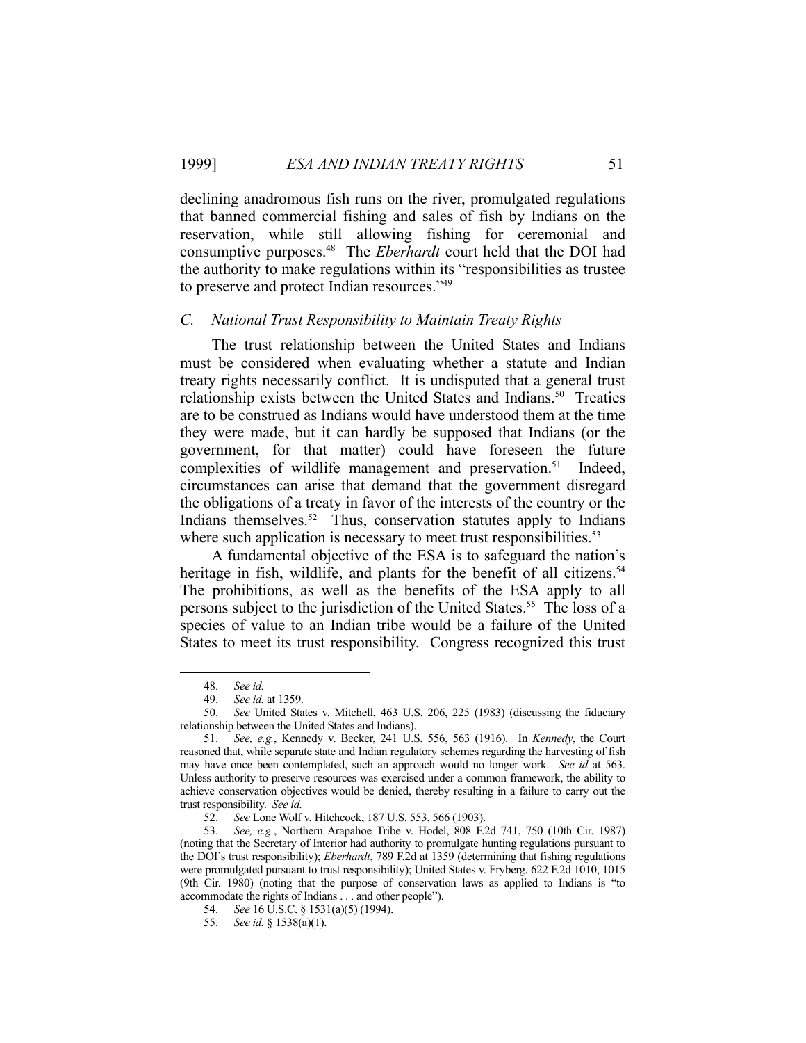declining anadromous fish runs on the river, promulgated regulations that banned commercial fishing and sales of fish by Indians on the reservation, while still allowing fishing for ceremonial and consumptive purposes.48 The *Eberhardt* court held that the DOI had the authority to make regulations within its "responsibilities as trustee to preserve and protect Indian resources."49

## *C. National Trust Responsibility to Maintain Treaty Rights*

 The trust relationship between the United States and Indians must be considered when evaluating whether a statute and Indian treaty rights necessarily conflict. It is undisputed that a general trust relationship exists between the United States and Indians.<sup>50</sup> Treaties are to be construed as Indians would have understood them at the time they were made, but it can hardly be supposed that Indians (or the government, for that matter) could have foreseen the future complexities of wildlife management and preservation.<sup>51</sup> Indeed, circumstances can arise that demand that the government disregard the obligations of a treaty in favor of the interests of the country or the Indians themselves.<sup>52</sup> Thus, conservation statutes apply to Indians where such application is necessary to meet trust responsibilities.<sup>53</sup>

 A fundamental objective of the ESA is to safeguard the nation's heritage in fish, wildlife, and plants for the benefit of all citizens.<sup>54</sup> The prohibitions, as well as the benefits of the ESA apply to all persons subject to the jurisdiction of the United States.<sup>55</sup> The loss of a species of value to an Indian tribe would be a failure of the United States to meet its trust responsibility. Congress recognized this trust

 <sup>48.</sup> *See id.*

 <sup>49.</sup> *See id.* at 1359.

 <sup>50.</sup> *See* United States v. Mitchell, 463 U.S. 206, 225 (1983) (discussing the fiduciary relationship between the United States and Indians).

 <sup>51.</sup> *See, e.g.*, Kennedy v. Becker, 241 U.S. 556, 563 (1916). In *Kennedy*, the Court reasoned that, while separate state and Indian regulatory schemes regarding the harvesting of fish may have once been contemplated, such an approach would no longer work. *See id* at 563. Unless authority to preserve resources was exercised under a common framework, the ability to achieve conservation objectives would be denied, thereby resulting in a failure to carry out the trust responsibility. *See id.*

 <sup>52.</sup> *See* Lone Wolf v. Hitchcock, 187 U.S. 553, 566 (1903).

 <sup>53.</sup> *See, e.g.*, Northern Arapahoe Tribe v. Hodel, 808 F.2d 741, 750 (10th Cir. 1987) (noting that the Secretary of Interior had authority to promulgate hunting regulations pursuant to the DOI's trust responsibility); *Eberhardt*, 789 F.2d at 1359 (determining that fishing regulations were promulgated pursuant to trust responsibility); United States v. Fryberg, 622 F.2d 1010, 1015 (9th Cir. 1980) (noting that the purpose of conservation laws as applied to Indians is "to accommodate the rights of Indians . . . and other people").

 <sup>54.</sup> *See* 16 U.S.C. § 1531(a)(5) (1994).

 <sup>55.</sup> *See id.* § 1538(a)(1).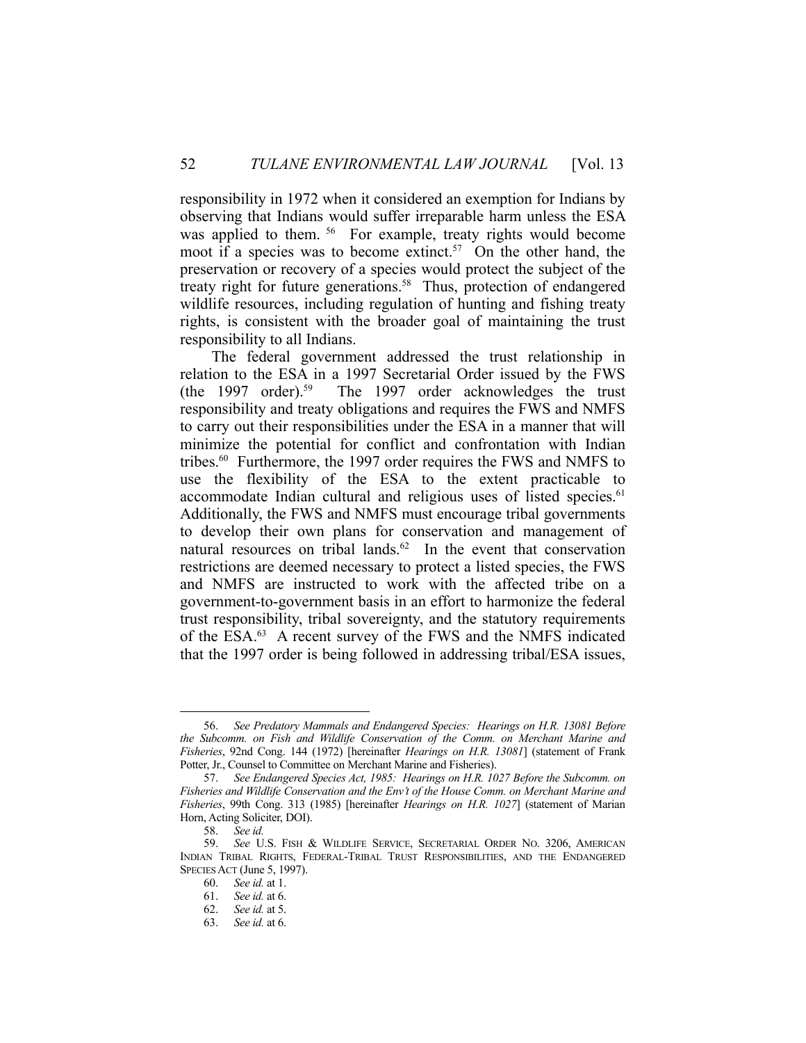responsibility in 1972 when it considered an exemption for Indians by observing that Indians would suffer irreparable harm unless the ESA was applied to them. <sup>56</sup> For example, treaty rights would become moot if a species was to become extinct.<sup>57</sup> On the other hand, the preservation or recovery of a species would protect the subject of the treaty right for future generations.<sup>58</sup> Thus, protection of endangered wildlife resources, including regulation of hunting and fishing treaty rights, is consistent with the broader goal of maintaining the trust responsibility to all Indians.

 The federal government addressed the trust relationship in relation to the ESA in a 1997 Secretarial Order issued by the FWS (the 1997 order).59 The 1997 order acknowledges the trust responsibility and treaty obligations and requires the FWS and NMFS to carry out their responsibilities under the ESA in a manner that will minimize the potential for conflict and confrontation with Indian tribes.<sup>60</sup> Furthermore, the 1997 order requires the FWS and NMFS to use the flexibility of the ESA to the extent practicable to accommodate Indian cultural and religious uses of listed species.<sup>61</sup> Additionally, the FWS and NMFS must encourage tribal governments to develop their own plans for conservation and management of natural resources on tribal lands.<sup>62</sup> In the event that conservation restrictions are deemed necessary to protect a listed species, the FWS and NMFS are instructed to work with the affected tribe on a government-to-government basis in an effort to harmonize the federal trust responsibility, tribal sovereignty, and the statutory requirements of the ESA.<sup>63</sup> A recent survey of the FWS and the NMFS indicated that the 1997 order is being followed in addressing tribal/ESA issues,

 <sup>56.</sup> *See Predatory Mammals and Endangered Species: Hearings on H.R. 13081 Before the Subcomm. on Fish and Wildlife Conservation of the Comm. on Merchant Marine and Fisheries*, 92nd Cong. 144 (1972) [hereinafter *Hearings on H.R. 13081*] (statement of Frank Potter, Jr., Counsel to Committee on Merchant Marine and Fisheries).

 <sup>57.</sup> *See Endangered Species Act, 1985: Hearings on H.R. 1027 Before the Subcomm. on Fisheries and Wildlife Conservation and the Env't of the House Comm. on Merchant Marine and Fisheries*, 99th Cong. 313 (1985) [hereinafter *Hearings on H.R. 1027*] (statement of Marian Horn, Acting Soliciter, DOI).

 <sup>58.</sup> *See id.*

 <sup>59.</sup> *See* U.S. FISH & WILDLIFE SERVICE, SECRETARIAL ORDER NO. 3206, AMERICAN INDIAN TRIBAL RIGHTS, FEDERAL-TRIBAL TRUST RESPONSIBILITIES, AND THE ENDANGERED SPECIES ACT (June 5, 1997).

 <sup>60.</sup> *See id.* at 1.

 <sup>61.</sup> *See id.* at 6.

 <sup>62.</sup> *See id.* at 5.

 <sup>63.</sup> *See id.* at 6.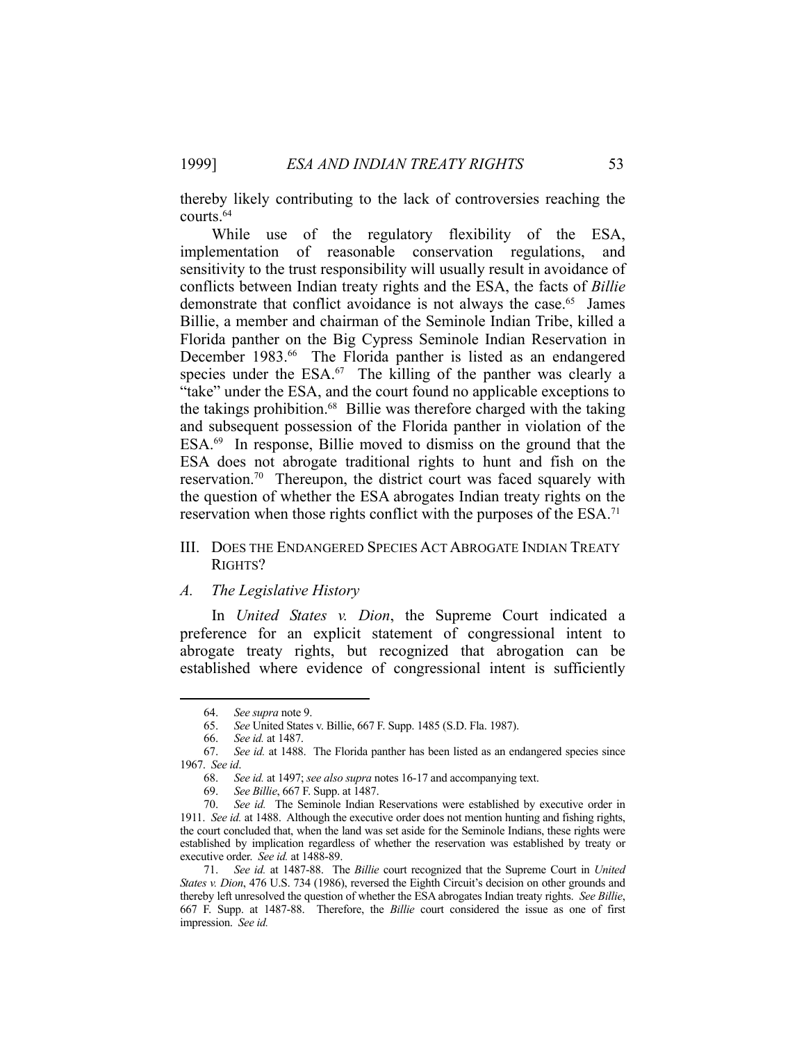thereby likely contributing to the lack of controversies reaching the courts.64

 While use of the regulatory flexibility of the ESA, implementation of reasonable conservation regulations, and sensitivity to the trust responsibility will usually result in avoidance of conflicts between Indian treaty rights and the ESA, the facts of *Billie*  demonstrate that conflict avoidance is not always the case.<sup>65</sup> James Billie, a member and chairman of the Seminole Indian Tribe, killed a Florida panther on the Big Cypress Seminole Indian Reservation in December 1983.<sup>66</sup> The Florida panther is listed as an endangered species under the  $ESA.67$  The killing of the panther was clearly a "take" under the ESA, and the court found no applicable exceptions to the takings prohibition.68 Billie was therefore charged with the taking and subsequent possession of the Florida panther in violation of the ESA.69 In response, Billie moved to dismiss on the ground that the ESA does not abrogate traditional rights to hunt and fish on the reservation.70 Thereupon, the district court was faced squarely with the question of whether the ESA abrogates Indian treaty rights on the reservation when those rights conflict with the purposes of the ESA.<sup>71</sup>

## III. DOES THE ENDANGERED SPECIES ACT ABROGATE INDIAN TREATY RIGHTS?

## *A. The Legislative History*

 In *United States v. Dion*, the Supreme Court indicated a preference for an explicit statement of congressional intent to abrogate treaty rights, but recognized that abrogation can be established where evidence of congressional intent is sufficiently

 <sup>64.</sup> *See supra* note 9.

 <sup>65.</sup> *See* United States v. Billie, 667 F. Supp. 1485 (S.D. Fla. 1987).

 <sup>66.</sup> *See id.* at 1487.

 <sup>67.</sup> *See id.* at 1488. The Florida panther has been listed as an endangered species since 1967. *See id*.

 <sup>68.</sup> *See id.* at 1497; *see also supra* notes 16-17 and accompanying text.

 <sup>69.</sup> *See Billie*, 667 F. Supp. at 1487.

 <sup>70.</sup> *See id.* The Seminole Indian Reservations were established by executive order in 1911. *See id.* at 1488. Although the executive order does not mention hunting and fishing rights, the court concluded that, when the land was set aside for the Seminole Indians, these rights were established by implication regardless of whether the reservation was established by treaty or executive order. *See id.* at 1488-89.

 <sup>71.</sup> *See id.* at 1487-88. The *Billie* court recognized that the Supreme Court in *United States v. Dion*, 476 U.S. 734 (1986), reversed the Eighth Circuit's decision on other grounds and thereby left unresolved the question of whether the ESA abrogates Indian treaty rights. *See Billie*, 667 F. Supp. at 1487-88. Therefore, the *Billie* court considered the issue as one of first impression. *See id.*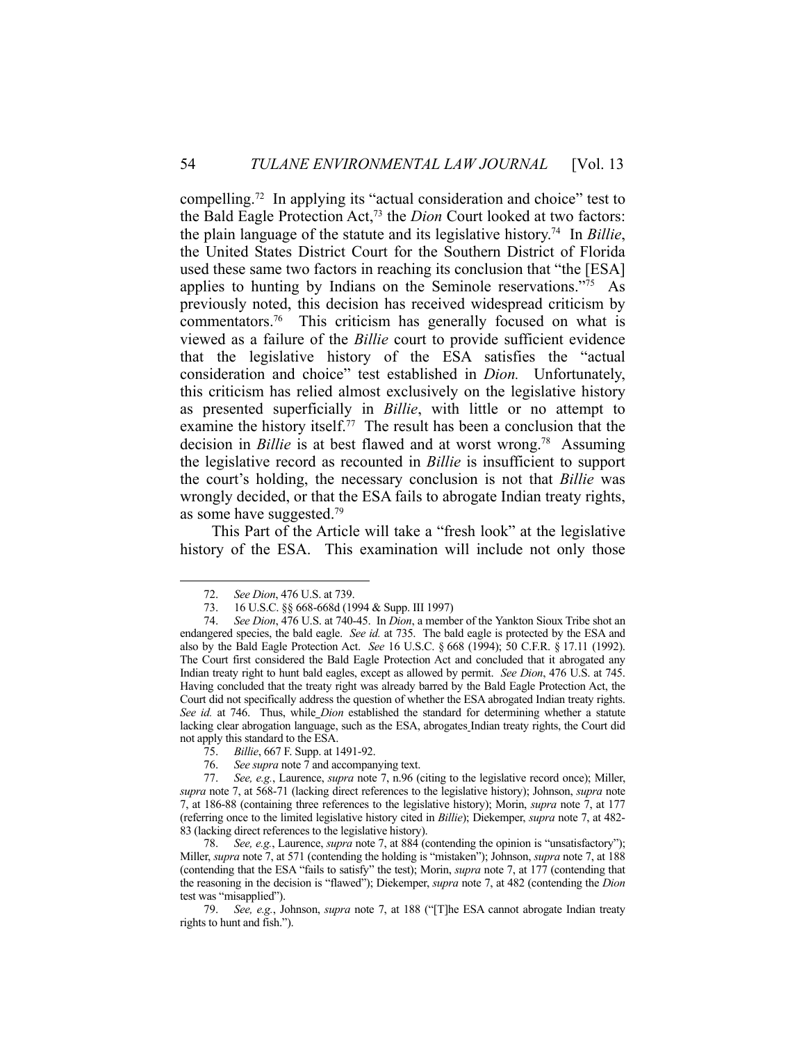compelling.72 In applying its "actual consideration and choice" test to the Bald Eagle Protection Act,73 the *Dion* Court looked at two factors: the plain language of the statute and its legislative history.74 In *Billie*, the United States District Court for the Southern District of Florida used these same two factors in reaching its conclusion that "the [ESA] applies to hunting by Indians on the Seminole reservations."75 As previously noted, this decision has received widespread criticism by commentators.76 This criticism has generally focused on what is viewed as a failure of the *Billie* court to provide sufficient evidence that the legislative history of the ESA satisfies the "actual consideration and choice" test established in *Dion.* Unfortunately, this criticism has relied almost exclusively on the legislative history as presented superficially in *Billie*, with little or no attempt to examine the history itself.<sup>77</sup> The result has been a conclusion that the decision in *Billie* is at best flawed and at worst wrong.<sup>78</sup> Assuming the legislative record as recounted in *Billie* is insufficient to support the court's holding, the necessary conclusion is not that *Billie* was wrongly decided, or that the ESA fails to abrogate Indian treaty rights, as some have suggested.79

 This Part of the Article will take a "fresh look" at the legislative history of the ESA. This examination will include not only those

1

76. *See supra* note 7 and accompanying text.

 <sup>72.</sup> *See Dion*, 476 U.S. at 739.

 <sup>73. 16</sup> U.S.C. §§ 668-668d (1994 & Supp. III 1997)

 <sup>74.</sup> *See Dion*, 476 U.S. at 740-45. In *Dion*, a member of the Yankton Sioux Tribe shot an endangered species, the bald eagle. *See id.* at 735. The bald eagle is protected by the ESA and also by the Bald Eagle Protection Act. *See* 16 U.S.C. § 668 (1994); 50 C.F.R. § 17.11 (1992). The Court first considered the Bald Eagle Protection Act and concluded that it abrogated any Indian treaty right to hunt bald eagles, except as allowed by permit. *See Dion*, 476 U.S. at 745. Having concluded that the treaty right was already barred by the Bald Eagle Protection Act, the Court did not specifically address the question of whether the ESA abrogated Indian treaty rights. *See id.* at 746. Thus, while *Dion* established the standard for determining whether a statute lacking clear abrogation language, such as the ESA, abrogates Indian treaty rights, the Court did not apply this standard to the ESA.

 <sup>75.</sup> *Billie*, 667 F. Supp. at 1491-92.

 <sup>77.</sup> *See, e.g.*, Laurence, *supra* note 7, n.96 (citing to the legislative record once); Miller, *supra* note 7, at 568-71 (lacking direct references to the legislative history); Johnson, *supra* note 7, at 186-88 (containing three references to the legislative history); Morin, *supra* note 7, at 177 (referring once to the limited legislative history cited in *Billie*); Diekemper, *supra* note 7, at 482- 83 (lacking direct references to the legislative history).

 <sup>78.</sup> *See, e.g.*, Laurence, *supra* note 7, at 884 (contending the opinion is "unsatisfactory"); Miller, *supra* note 7, at 571 (contending the holding is "mistaken"); Johnson, *supra* note 7, at 188 (contending that the ESA "fails to satisfy" the test); Morin, *supra* note 7, at 177 (contending that the reasoning in the decision is "flawed"); Diekemper, *supra* note 7, at 482 (contending the *Dion*  test was "misapplied").

 <sup>79.</sup> *See, e.g.*, Johnson, *supra* note 7, at 188 ("[T]he ESA cannot abrogate Indian treaty rights to hunt and fish.").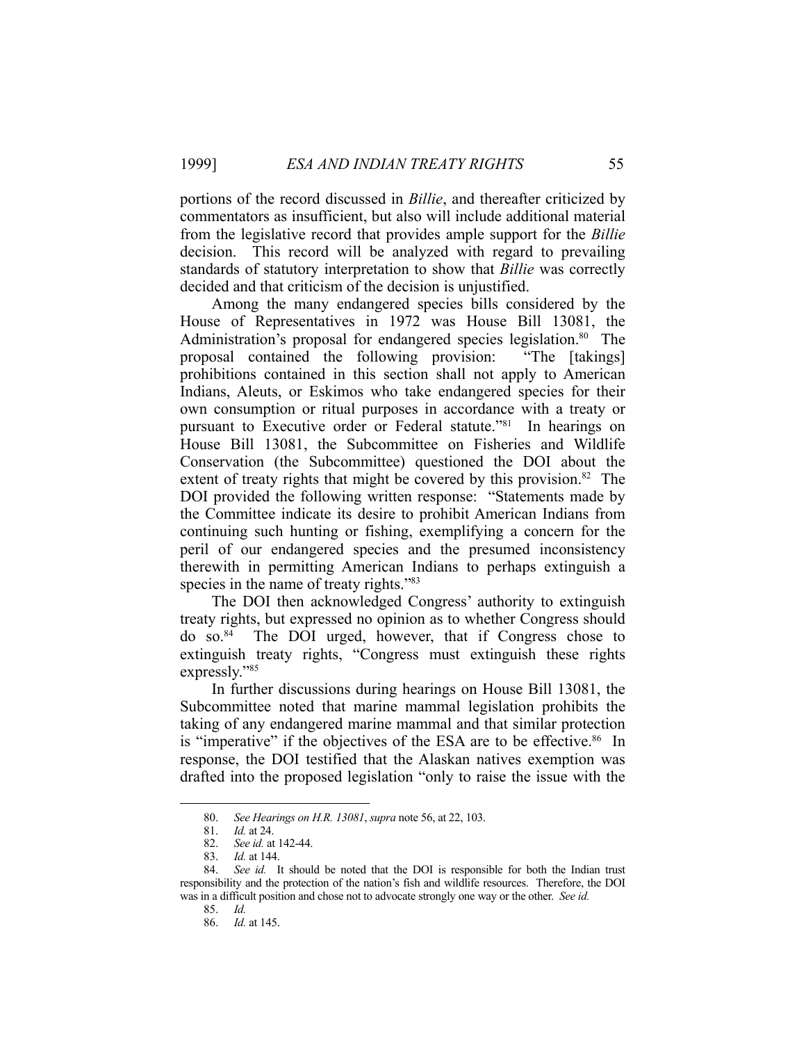portions of the record discussed in *Billie*, and thereafter criticized by commentators as insufficient, but also will include additional material from the legislative record that provides ample support for the *Billie* decision. This record will be analyzed with regard to prevailing standards of statutory interpretation to show that *Billie* was correctly decided and that criticism of the decision is unjustified.

 Among the many endangered species bills considered by the House of Representatives in 1972 was House Bill 13081, the Administration's proposal for endangered species legislation.<sup>80</sup> The proposal contained the following provision: "The [takings] prohibitions contained in this section shall not apply to American Indians, Aleuts, or Eskimos who take endangered species for their own consumption or ritual purposes in accordance with a treaty or pursuant to Executive order or Federal statute."81 In hearings on House Bill 13081, the Subcommittee on Fisheries and Wildlife Conservation (the Subcommittee) questioned the DOI about the extent of treaty rights that might be covered by this provision.<sup>82</sup> The DOI provided the following written response: "Statements made by the Committee indicate its desire to prohibit American Indians from continuing such hunting or fishing, exemplifying a concern for the peril of our endangered species and the presumed inconsistency therewith in permitting American Indians to perhaps extinguish a species in the name of treaty rights."<sup>83</sup>

 The DOI then acknowledged Congress' authority to extinguish treaty rights, but expressed no opinion as to whether Congress should do so.84 The DOI urged, however, that if Congress chose to extinguish treaty rights, "Congress must extinguish these rights expressly."85

 In further discussions during hearings on House Bill 13081, the Subcommittee noted that marine mammal legislation prohibits the taking of any endangered marine mammal and that similar protection is "imperative" if the objectives of the ESA are to be effective.<sup>86</sup> In response, the DOI testified that the Alaskan natives exemption was drafted into the proposed legislation "only to raise the issue with the

 <sup>80.</sup> *See Hearings on H.R. 13081*, *supra* note 56, at 22, 103.

 <sup>81.</sup> *Id.* at 24.

 <sup>82.</sup> *See id.* at 142-44.

 <sup>83.</sup> *Id.* at 144.

 <sup>84.</sup> *See id.* It should be noted that the DOI is responsible for both the Indian trust responsibility and the protection of the nation's fish and wildlife resources. Therefore, the DOI was in a difficult position and chose not to advocate strongly one way or the other. *See id.*

 <sup>85.</sup> *Id.*

 <sup>86.</sup> *Id.* at 145.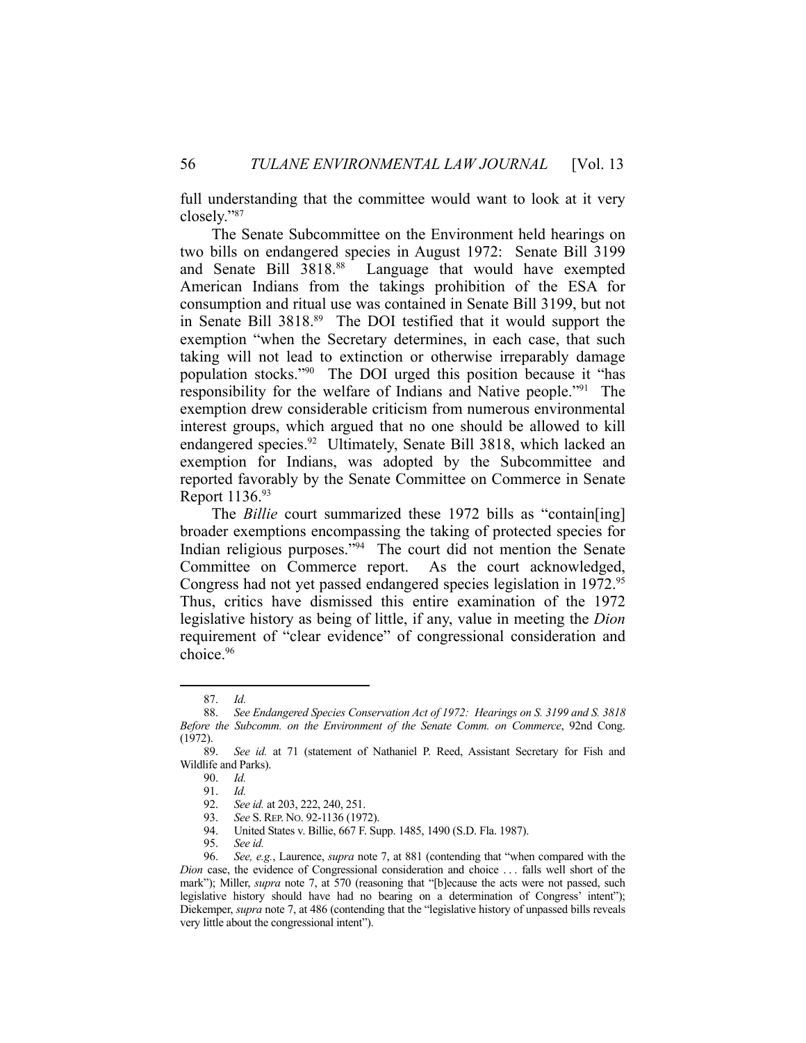full understanding that the committee would want to look at it very closely."87

 The Senate Subcommittee on the Environment held hearings on two bills on endangered species in August 1972: Senate Bill 3199 and Senate Bill 3818.88 Language that would have exempted American Indians from the takings prohibition of the ESA for consumption and ritual use was contained in Senate Bill 3199, but not in Senate Bill 3818.89 The DOI testified that it would support the exemption "when the Secretary determines, in each case, that such taking will not lead to extinction or otherwise irreparably damage population stocks."90 The DOI urged this position because it "has responsibility for the welfare of Indians and Native people."91 The exemption drew considerable criticism from numerous environmental interest groups, which argued that no one should be allowed to kill endangered species.<sup>92</sup> Ultimately, Senate Bill 3818, which lacked an exemption for Indians, was adopted by the Subcommittee and reported favorably by the Senate Committee on Commerce in Senate Report 1136.93

 The *Billie* court summarized these 1972 bills as "contain[ing] broader exemptions encompassing the taking of protected species for Indian religious purposes."94 The court did not mention the Senate Committee on Commerce report. As the court acknowledged, Congress had not yet passed endangered species legislation in 1972.<sup>95</sup> Thus, critics have dismissed this entire examination of the 1972 legislative history as being of little, if any, value in meeting the *Dion*  requirement of "clear evidence" of congressional consideration and choice.96

 <sup>87.</sup> *Id.*

 <sup>88.</sup> *See Endangered Species Conservation Act of 1972: Hearings on S. 3199 and S. 3818 Before the Subcomm. on the Environment of the Senate Comm. on Commerce*, 92nd Cong.  $(1972)$ .<br>89.

See id. at 71 (statement of Nathaniel P. Reed, Assistant Secretary for Fish and Wildlife and Parks).

 <sup>90.</sup> *Id.* 91. *Id.*

 <sup>92.</sup> *See id.* at 203, 222, 240, 251. 93. *See* S.REP. NO. 92-1136 (1972).

 <sup>94.</sup> United States v. Billie, 667 F. Supp. 1485, 1490 (S.D. Fla. 1987).

 <sup>95.</sup> *See id.*

 <sup>96.</sup> *See, e.g.*, Laurence, *supra* note 7, at 881 (contending that "when compared with the *Dion* case, the evidence of Congressional consideration and choice . . . falls well short of the mark"); Miller, *supra* note 7, at 570 (reasoning that "[b]ecause the acts were not passed, such legislative history should have had no bearing on a determination of Congress' intent"); Diekemper, *supra* note 7, at 486 (contending that the "legislative history of unpassed bills reveals very little about the congressional intent").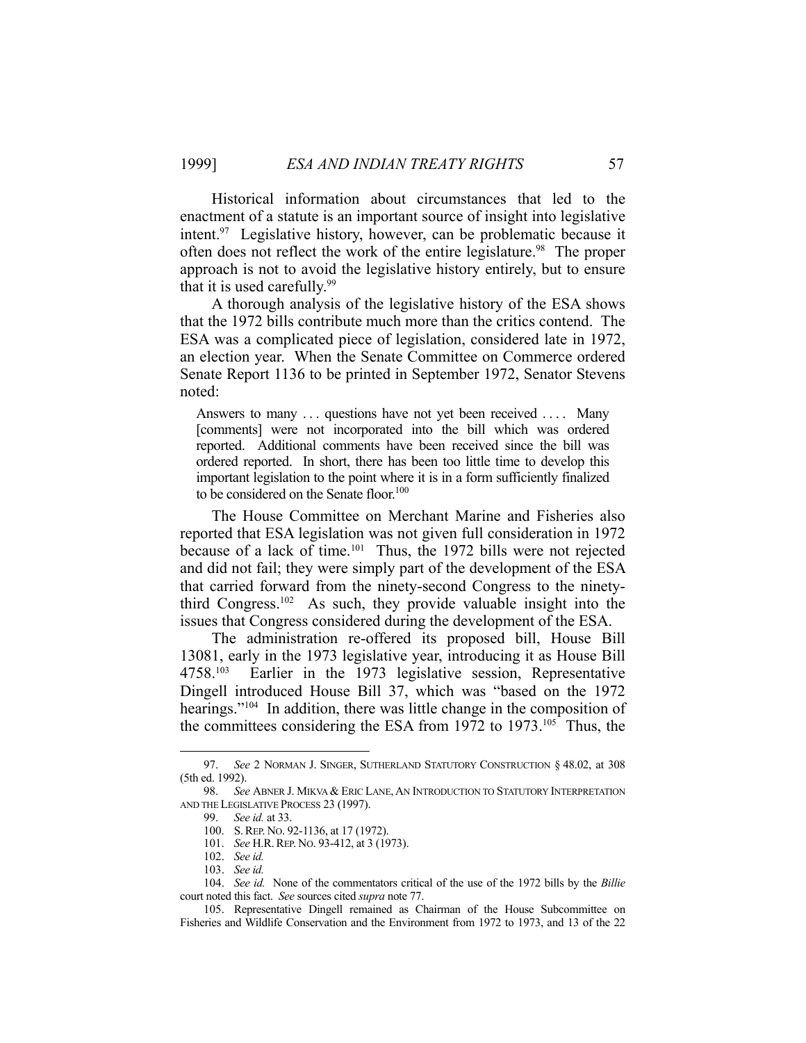Historical information about circumstances that led to the enactment of a statute is an important source of insight into legislative intent.97 Legislative history, however, can be problematic because it often does not reflect the work of the entire legislature.<sup>98</sup> The proper approach is not to avoid the legislative history entirely, but to ensure that it is used carefully.<sup>99</sup>

 A thorough analysis of the legislative history of the ESA shows that the 1972 bills contribute much more than the critics contend. The ESA was a complicated piece of legislation, considered late in 1972, an election year. When the Senate Committee on Commerce ordered Senate Report 1136 to be printed in September 1972, Senator Stevens noted:

Answers to many ... questions have not yet been received .... Many [comments] were not incorporated into the bill which was ordered reported. Additional comments have been received since the bill was ordered reported. In short, there has been too little time to develop this important legislation to the point where it is in a form sufficiently finalized to be considered on the Senate floor.<sup>100</sup>

 The House Committee on Merchant Marine and Fisheries also reported that ESA legislation was not given full consideration in 1972 because of a lack of time.<sup>101</sup> Thus, the 1972 bills were not rejected and did not fail; they were simply part of the development of the ESA that carried forward from the ninety-second Congress to the ninetythird Congress.102 As such, they provide valuable insight into the issues that Congress considered during the development of the ESA.

 The administration re-offered its proposed bill, House Bill 13081, early in the 1973 legislative year, introducing it as House Bill 4758.103 Earlier in the 1973 legislative session, Representative Dingell introduced House Bill 37, which was "based on the 1972 hearings."<sup>104</sup> In addition, there was little change in the composition of the committees considering the ESA from 1972 to 1973.105 Thus, the

 <sup>97.</sup> *See* 2 NORMAN J. SINGER, SUTHERLAND STATUTORY CONSTRUCTION § 48.02, at 308 (5th ed. 1992).

 <sup>98.</sup> *See* ABNER J. MIKVA & ERIC LANE,AN INTRODUCTION TO STATUTORY INTERPRETATION AND THE LEGISLATIVE PROCESS 23 (1997).

 <sup>99.</sup> *See id.* at 33.

 <sup>100.</sup> S.REP. NO. 92-1136, at 17 (1972).

 <sup>101.</sup> *See* H.R.REP. NO. 93-412, at 3 (1973).

 <sup>102.</sup> *See id.*

 <sup>103.</sup> *See id.*

 <sup>104.</sup> *See id.* None of the commentators critical of the use of the 1972 bills by the *Billie*  court noted this fact. *See* sources cited *supra* note 77.

 <sup>105.</sup> Representative Dingell remained as Chairman of the House Subcommittee on Fisheries and Wildlife Conservation and the Environment from 1972 to 1973, and 13 of the 22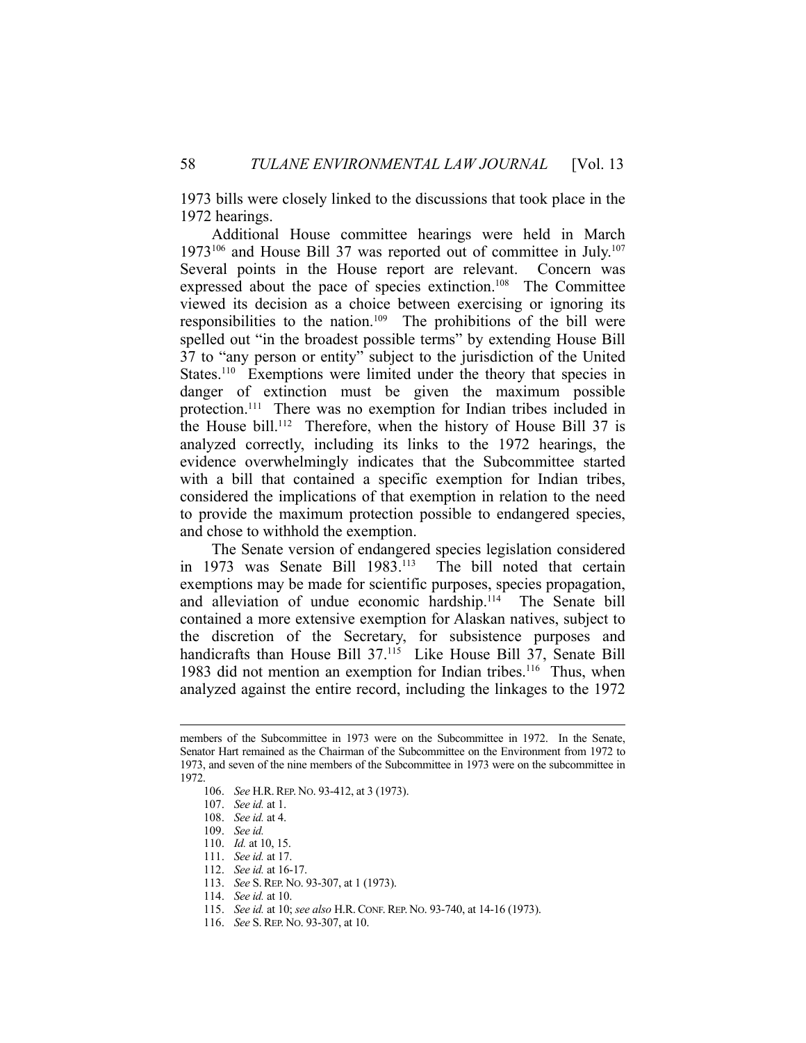1973 bills were closely linked to the discussions that took place in the 1972 hearings.

 Additional House committee hearings were held in March 1973<sup>106</sup> and House Bill 37 was reported out of committee in July.<sup>107</sup> Several points in the House report are relevant. Concern was expressed about the pace of species extinction.<sup>108</sup> The Committee viewed its decision as a choice between exercising or ignoring its responsibilities to the nation.109 The prohibitions of the bill were spelled out "in the broadest possible terms" by extending House Bill 37 to "any person or entity" subject to the jurisdiction of the United States.<sup>110</sup> Exemptions were limited under the theory that species in danger of extinction must be given the maximum possible protection.<sup>111</sup> There was no exemption for Indian tribes included in the House bill.112 Therefore, when the history of House Bill 37 is analyzed correctly, including its links to the 1972 hearings, the evidence overwhelmingly indicates that the Subcommittee started with a bill that contained a specific exemption for Indian tribes, considered the implications of that exemption in relation to the need to provide the maximum protection possible to endangered species, and chose to withhold the exemption.

 The Senate version of endangered species legislation considered in 1973 was Senate Bill 1983.<sup>113</sup> The bill noted that certain exemptions may be made for scientific purposes, species propagation, and alleviation of undue economic hardship.<sup>114</sup> The Senate bill contained a more extensive exemption for Alaskan natives, subject to the discretion of the Secretary, for subsistence purposes and handicrafts than House Bill 37.<sup>115</sup> Like House Bill 37, Senate Bill 1983 did not mention an exemption for Indian tribes.<sup>116</sup> Thus, when analyzed against the entire record, including the linkages to the 1972

members of the Subcommittee in 1973 were on the Subcommittee in 1972. In the Senate, Senator Hart remained as the Chairman of the Subcommittee on the Environment from 1972 to 1973, and seven of the nine members of the Subcommittee in 1973 were on the subcommittee in 1972.

 <sup>106.</sup> *See* H.R.REP. NO. 93-412, at 3 (1973).

 <sup>107.</sup> *See id.* at 1.

 <sup>108.</sup> *See id.* at 4.

 <sup>109.</sup> *See id.*

 <sup>110.</sup> *Id.* at 10, 15.

 <sup>111.</sup> *See id.* at 17.

 <sup>112.</sup> *See id.* at 16-17.

 <sup>113.</sup> *See* S.REP. NO. 93-307, at 1 (1973).

 <sup>114.</sup> *See id.* at 10.

 <sup>115.</sup> *See id.* at 10; *see also* H.R. CONF. REP. NO. 93-740, at 14-16 (1973).

 <sup>116.</sup> *See* S.REP. NO. 93-307, at 10.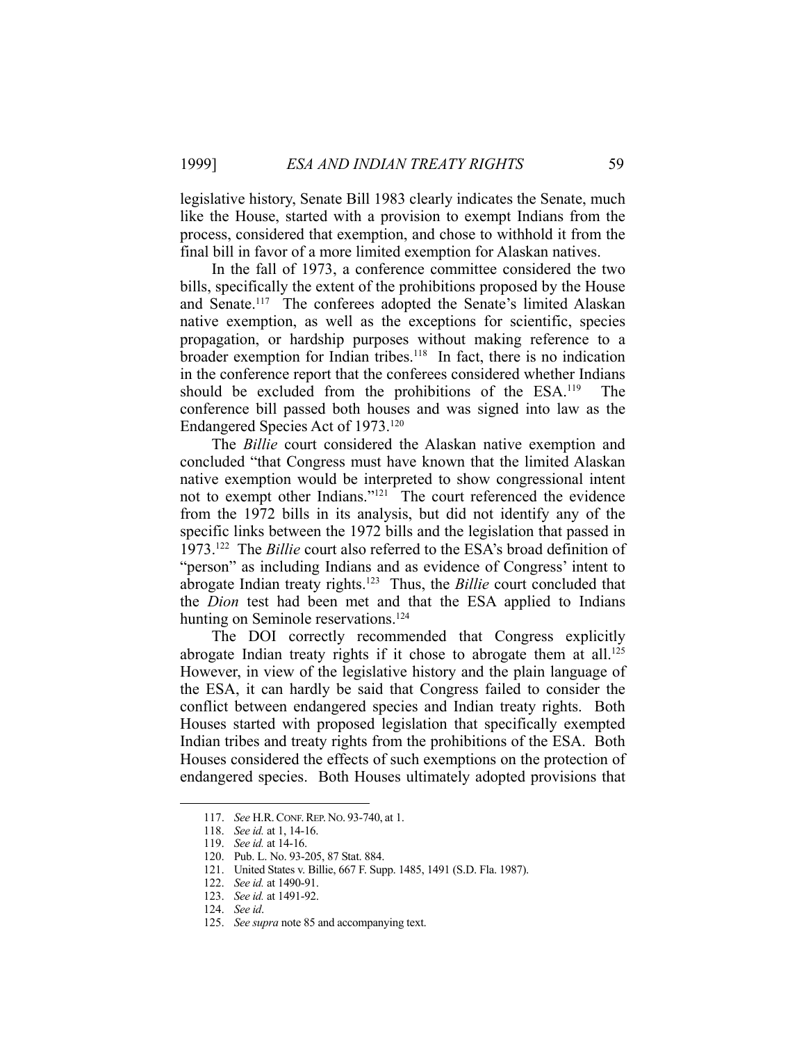legislative history, Senate Bill 1983 clearly indicates the Senate, much like the House, started with a provision to exempt Indians from the process, considered that exemption, and chose to withhold it from the final bill in favor of a more limited exemption for Alaskan natives.

 In the fall of 1973, a conference committee considered the two bills, specifically the extent of the prohibitions proposed by the House and Senate.117 The conferees adopted the Senate's limited Alaskan native exemption, as well as the exceptions for scientific, species propagation, or hardship purposes without making reference to a broader exemption for Indian tribes.<sup>118</sup> In fact, there is no indication in the conference report that the conferees considered whether Indians should be excluded from the prohibitions of the ESA.119 The conference bill passed both houses and was signed into law as the Endangered Species Act of 1973.120

 The *Billie* court considered the Alaskan native exemption and concluded "that Congress must have known that the limited Alaskan native exemption would be interpreted to show congressional intent not to exempt other Indians."<sup>121</sup> The court referenced the evidence from the 1972 bills in its analysis, but did not identify any of the specific links between the 1972 bills and the legislation that passed in 1973.122 The *Billie* court also referred to the ESA's broad definition of "person" as including Indians and as evidence of Congress' intent to abrogate Indian treaty rights.123 Thus, the *Billie* court concluded that the *Dion* test had been met and that the ESA applied to Indians hunting on Seminole reservations.<sup>124</sup>

 The DOI correctly recommended that Congress explicitly abrogate Indian treaty rights if it chose to abrogate them at all.<sup>125</sup> However, in view of the legislative history and the plain language of the ESA, it can hardly be said that Congress failed to consider the conflict between endangered species and Indian treaty rights. Both Houses started with proposed legislation that specifically exempted Indian tribes and treaty rights from the prohibitions of the ESA. Both Houses considered the effects of such exemptions on the protection of endangered species. Both Houses ultimately adopted provisions that

 <sup>117.</sup> *See* H.R.CONF.REP. NO. 93-740, at 1.

 <sup>118.</sup> *See id.* at 1, 14-16.

 <sup>119.</sup> *See id.* at 14-16.

 <sup>120.</sup> Pub. L. No. 93-205, 87 Stat. 884.

 <sup>121.</sup> United States v. Billie, 667 F. Supp. 1485, 1491 (S.D. Fla. 1987).

 <sup>122.</sup> *See id.* at 1490-91.

 <sup>123.</sup> *See id.* at 1491-92.

 <sup>124.</sup> *See id*.

 <sup>125.</sup> *See supra* note 85 and accompanying text.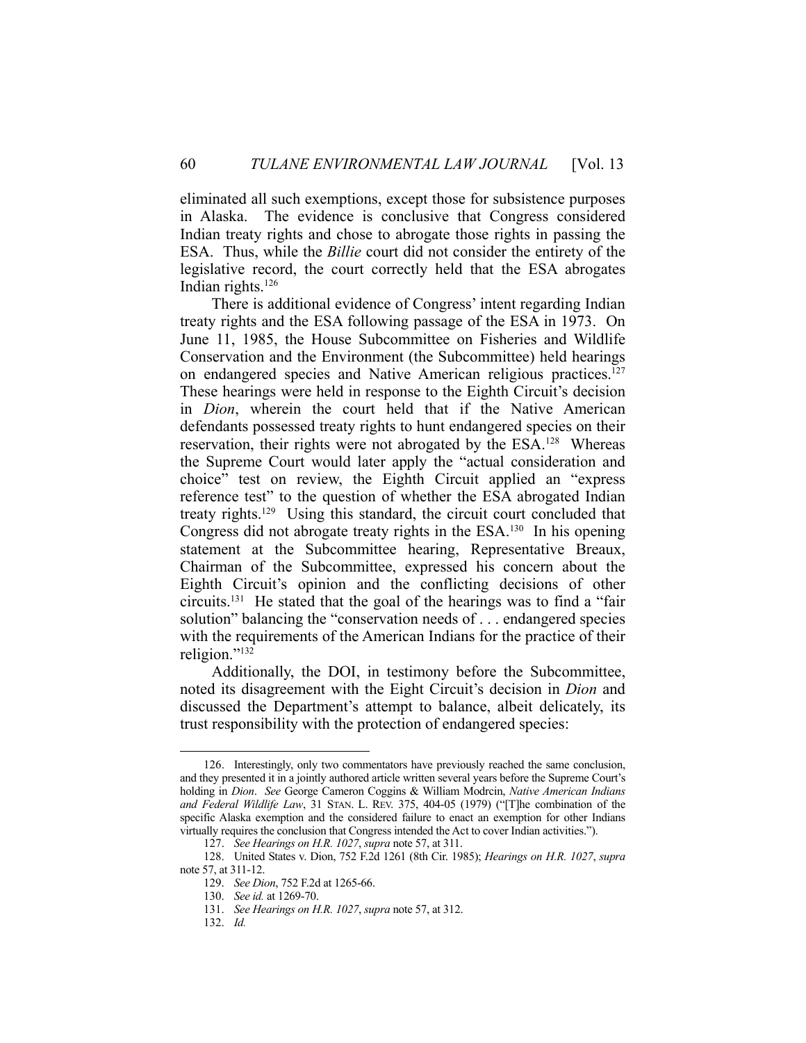eliminated all such exemptions, except those for subsistence purposes in Alaska. The evidence is conclusive that Congress considered Indian treaty rights and chose to abrogate those rights in passing the ESA. Thus, while the *Billie* court did not consider the entirety of the legislative record, the court correctly held that the ESA abrogates Indian rights.<sup>126</sup>

 There is additional evidence of Congress' intent regarding Indian treaty rights and the ESA following passage of the ESA in 1973. On June 11, 1985, the House Subcommittee on Fisheries and Wildlife Conservation and the Environment (the Subcommittee) held hearings on endangered species and Native American religious practices.<sup>127</sup> These hearings were held in response to the Eighth Circuit's decision in *Dion*, wherein the court held that if the Native American defendants possessed treaty rights to hunt endangered species on their reservation, their rights were not abrogated by the ESA.128 Whereas the Supreme Court would later apply the "actual consideration and choice" test on review, the Eighth Circuit applied an "express reference test" to the question of whether the ESA abrogated Indian treaty rights.129 Using this standard, the circuit court concluded that Congress did not abrogate treaty rights in the ESA.<sup>130</sup> In his opening statement at the Subcommittee hearing, Representative Breaux, Chairman of the Subcommittee, expressed his concern about the Eighth Circuit's opinion and the conflicting decisions of other circuits.131 He stated that the goal of the hearings was to find a "fair solution" balancing the "conservation needs of . . . endangered species with the requirements of the American Indians for the practice of their religion."<sup>132</sup>

 Additionally, the DOI, in testimony before the Subcommittee, noted its disagreement with the Eight Circuit's decision in *Dion* and discussed the Department's attempt to balance, albeit delicately, its trust responsibility with the protection of endangered species:

 <sup>126.</sup> Interestingly, only two commentators have previously reached the same conclusion, and they presented it in a jointly authored article written several years before the Supreme Court's holding in *Dion*. *See* George Cameron Coggins & William Modrcin, *Native American Indians and Federal Wildlife Law*, 31 STAN. L. REV. 375, 404-05 (1979) ("[T]he combination of the specific Alaska exemption and the considered failure to enact an exemption for other Indians virtually requires the conclusion that Congress intended the Act to cover Indian activities.").

 <sup>127.</sup> *See Hearings on H.R. 1027*, *supra* note 57, at 311.

 <sup>128.</sup> United States v. Dion, 752 F.2d 1261 (8th Cir. 1985); *Hearings on H.R. 1027*, *supra* note 57, at 311-12.

 <sup>129.</sup> *See Dion*, 752 F.2d at 1265-66.

 <sup>130.</sup> *See id.* at 1269-70.

 <sup>131.</sup> *See Hearings on H.R. 1027*, *supra* note 57, at 312.

 <sup>132.</sup> *Id.*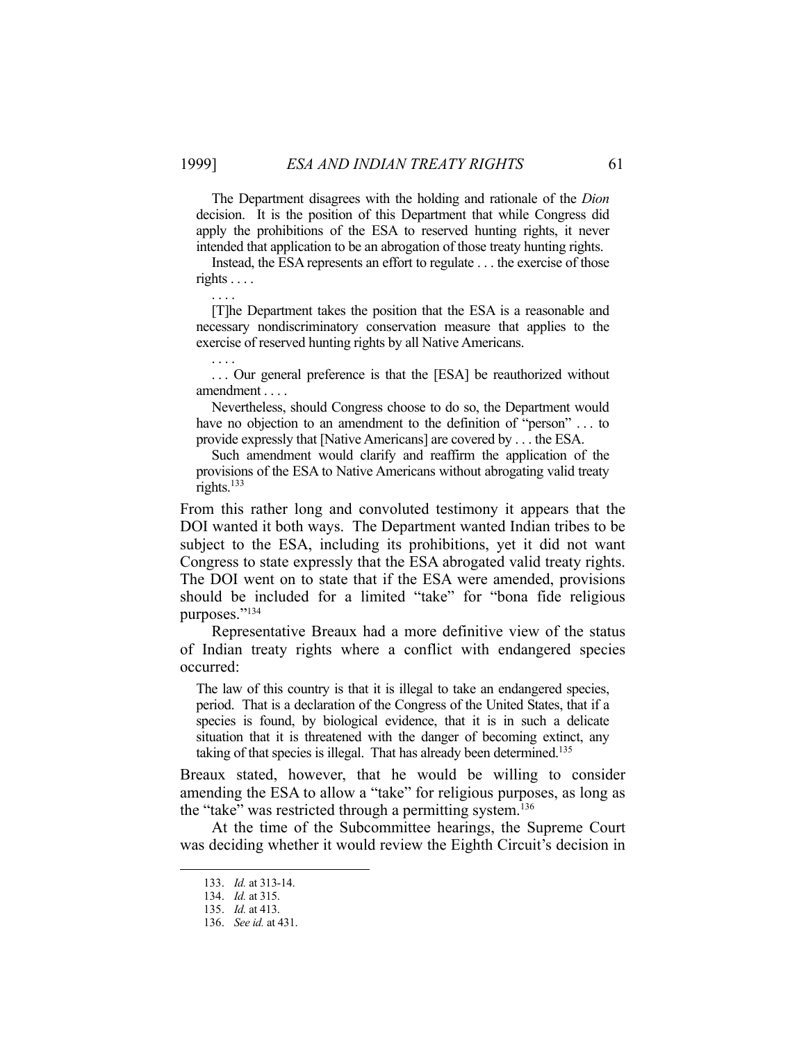. . . .

. . . .

 The Department disagrees with the holding and rationale of the *Dion*  decision. It is the position of this Department that while Congress did apply the prohibitions of the ESA to reserved hunting rights, it never intended that application to be an abrogation of those treaty hunting rights.

 Instead, the ESA represents an effort to regulate . . . the exercise of those rights . . . .

 [T]he Department takes the position that the ESA is a reasonable and necessary nondiscriminatory conservation measure that applies to the exercise of reserved hunting rights by all Native Americans.

... Our general preference is that the [ESA] be reauthorized without amendment . . . .

 Nevertheless, should Congress choose to do so, the Department would have no objection to an amendment to the definition of "person" . . . to provide expressly that [Native Americans] are covered by . . . the ESA.

 Such amendment would clarify and reaffirm the application of the provisions of the ESA to Native Americans without abrogating valid treaty rights. $133$ 

From this rather long and convoluted testimony it appears that the DOI wanted it both ways. The Department wanted Indian tribes to be subject to the ESA, including its prohibitions, yet it did not want Congress to state expressly that the ESA abrogated valid treaty rights. The DOI went on to state that if the ESA were amended, provisions should be included for a limited "take" for "bona fide religious purposes."134

 Representative Breaux had a more definitive view of the status of Indian treaty rights where a conflict with endangered species occurred:

The law of this country is that it is illegal to take an endangered species, period. That is a declaration of the Congress of the United States, that if a species is found, by biological evidence, that it is in such a delicate situation that it is threatened with the danger of becoming extinct, any taking of that species is illegal. That has already been determined.<sup>135</sup>

Breaux stated, however, that he would be willing to consider amending the ESA to allow a "take" for religious purposes, as long as the "take" was restricted through a permitting system.136

 At the time of the Subcommittee hearings, the Supreme Court was deciding whether it would review the Eighth Circuit's decision in

 <sup>133.</sup> *Id.* at 313-14.

 <sup>134.</sup> *Id.* at 315.

 <sup>135.</sup> *Id.* at 413.

 <sup>136.</sup> *See id.* at 431.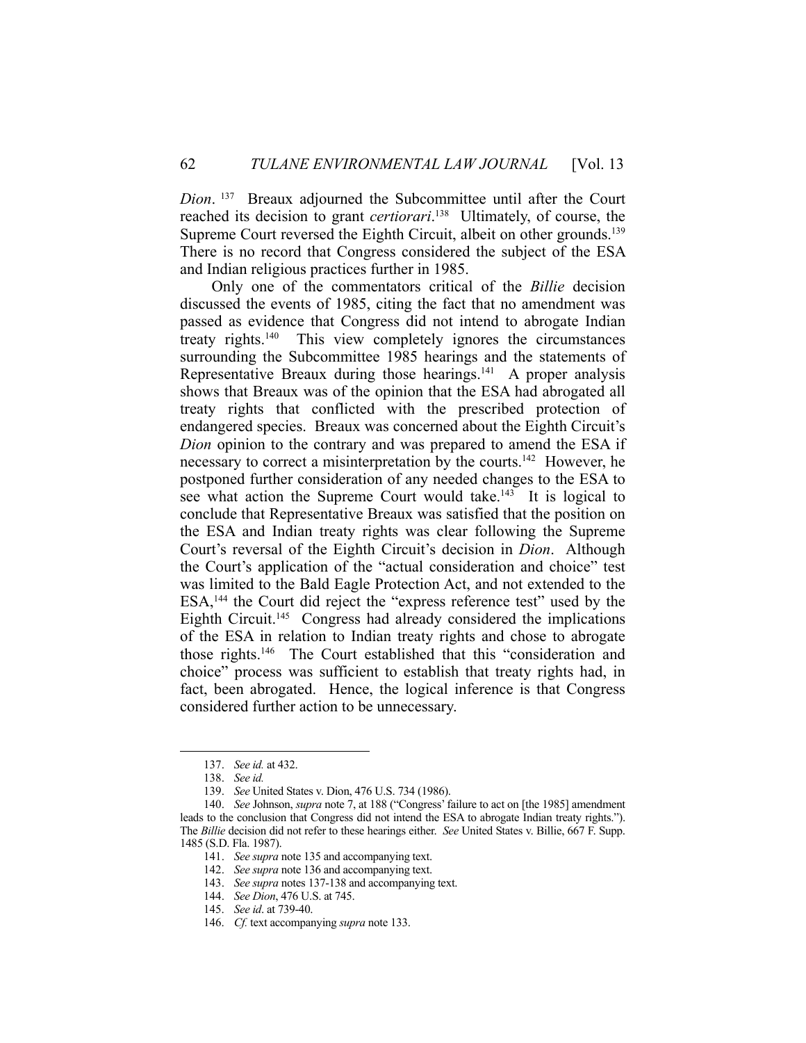*Dion*. 137 Breaux adjourned the Subcommittee until after the Court reached its decision to grant *certiorari*. 138 Ultimately, of course, the Supreme Court reversed the Eighth Circuit, albeit on other grounds.<sup>139</sup> There is no record that Congress considered the subject of the ESA and Indian religious practices further in 1985.

 Only one of the commentators critical of the *Billie* decision discussed the events of 1985, citing the fact that no amendment was passed as evidence that Congress did not intend to abrogate Indian treaty rights.140 This view completely ignores the circumstances surrounding the Subcommittee 1985 hearings and the statements of Representative Breaux during those hearings. $141$  A proper analysis shows that Breaux was of the opinion that the ESA had abrogated all treaty rights that conflicted with the prescribed protection of endangered species. Breaux was concerned about the Eighth Circuit's *Dion* opinion to the contrary and was prepared to amend the ESA if necessary to correct a misinterpretation by the courts.<sup>142</sup> However, he postponed further consideration of any needed changes to the ESA to see what action the Supreme Court would take.<sup>143</sup> It is logical to conclude that Representative Breaux was satisfied that the position on the ESA and Indian treaty rights was clear following the Supreme Court's reversal of the Eighth Circuit's decision in *Dion*. Although the Court's application of the "actual consideration and choice" test was limited to the Bald Eagle Protection Act, and not extended to the ESA,144 the Court did reject the "express reference test" used by the Eighth Circuit.<sup>145</sup> Congress had already considered the implications of the ESA in relation to Indian treaty rights and chose to abrogate those rights.146 The Court established that this "consideration and choice" process was sufficient to establish that treaty rights had, in fact, been abrogated. Hence, the logical inference is that Congress considered further action to be unnecessary.

 <sup>137.</sup> *See id.* at 432.

 <sup>138.</sup> *See id.*

 <sup>139.</sup> *See* United States v. Dion, 476 U.S. 734 (1986).

 <sup>140.</sup> *See* Johnson, *supra* note 7, at 188 ("Congress' failure to act on [the 1985] amendment leads to the conclusion that Congress did not intend the ESA to abrogate Indian treaty rights."). The *Billie* decision did not refer to these hearings either. *See* United States v. Billie, 667 F. Supp. 1485 (S.D. Fla. 1987).

 <sup>141.</sup> *See supra* note 135 and accompanying text.

 <sup>142.</sup> *See supra* note 136 and accompanying text.

 <sup>143.</sup> *See supra* notes 137-138 and accompanying text.

 <sup>144.</sup> *See Dion*, 476 U.S. at 745.

 <sup>145.</sup> *See id*. at 739-40.

 <sup>146.</sup> *Cf.* text accompanying *supra* note 133.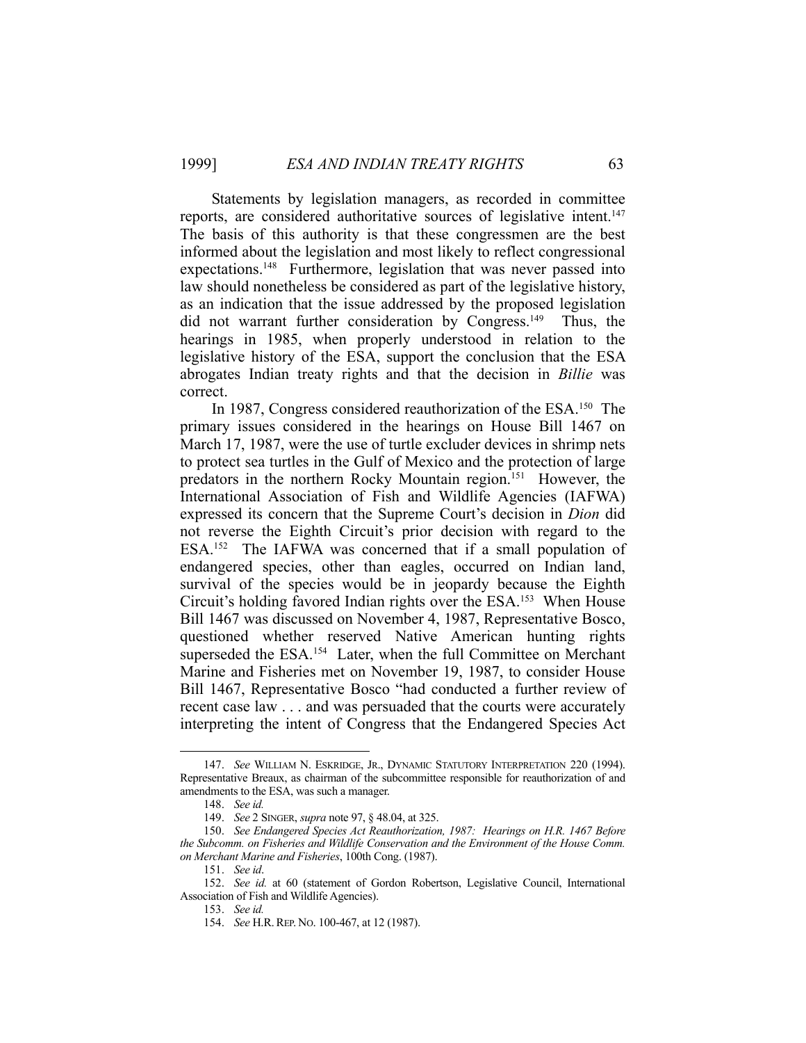Statements by legislation managers, as recorded in committee reports, are considered authoritative sources of legislative intent.<sup>147</sup> The basis of this authority is that these congressmen are the best informed about the legislation and most likely to reflect congressional expectations.<sup>148</sup> Furthermore, legislation that was never passed into law should nonetheless be considered as part of the legislative history, as an indication that the issue addressed by the proposed legislation did not warrant further consideration by Congress.<sup>149</sup> Thus, the hearings in 1985, when properly understood in relation to the legislative history of the ESA, support the conclusion that the ESA abrogates Indian treaty rights and that the decision in *Billie* was correct.

In 1987, Congress considered reauthorization of the ESA.<sup>150</sup> The primary issues considered in the hearings on House Bill 1467 on March 17, 1987, were the use of turtle excluder devices in shrimp nets to protect sea turtles in the Gulf of Mexico and the protection of large predators in the northern Rocky Mountain region.151 However, the International Association of Fish and Wildlife Agencies (IAFWA) expressed its concern that the Supreme Court's decision in *Dion* did not reverse the Eighth Circuit's prior decision with regard to the ESA.<sup>152</sup> The IAFWA was concerned that if a small population of endangered species, other than eagles, occurred on Indian land, survival of the species would be in jeopardy because the Eighth Circuit's holding favored Indian rights over the ESA.<sup>153</sup> When House Bill 1467 was discussed on November 4, 1987, Representative Bosco, questioned whether reserved Native American hunting rights superseded the ESA.<sup>154</sup> Later, when the full Committee on Merchant Marine and Fisheries met on November 19, 1987, to consider House Bill 1467, Representative Bosco "had conducted a further review of recent case law . . . and was persuaded that the courts were accurately interpreting the intent of Congress that the Endangered Species Act

 <sup>147.</sup> *See* WILLIAM N. ESKRIDGE, JR., DYNAMIC STATUTORY INTERPRETATION 220 (1994). Representative Breaux, as chairman of the subcommittee responsible for reauthorization of and amendments to the ESA, was such a manager.

 <sup>148.</sup> *See id.*

 <sup>149.</sup> *See* 2 SINGER, *supra* note 97, § 48.04, at 325.

 <sup>150.</sup> *See Endangered Species Act Reauthorization, 1987: Hearings on H.R. 1467 Before the Subcomm. on Fisheries and Wildlife Conservation and the Environment of the House Comm. on Merchant Marine and Fisheries*, 100th Cong. (1987).

 <sup>151.</sup> *See id*.

 <sup>152.</sup> *See id.* at 60 (statement of Gordon Robertson, Legislative Council, International Association of Fish and Wildlife Agencies).

 <sup>153.</sup> *See id.*

 <sup>154.</sup> *See* H.R.REP. NO. 100-467, at 12 (1987).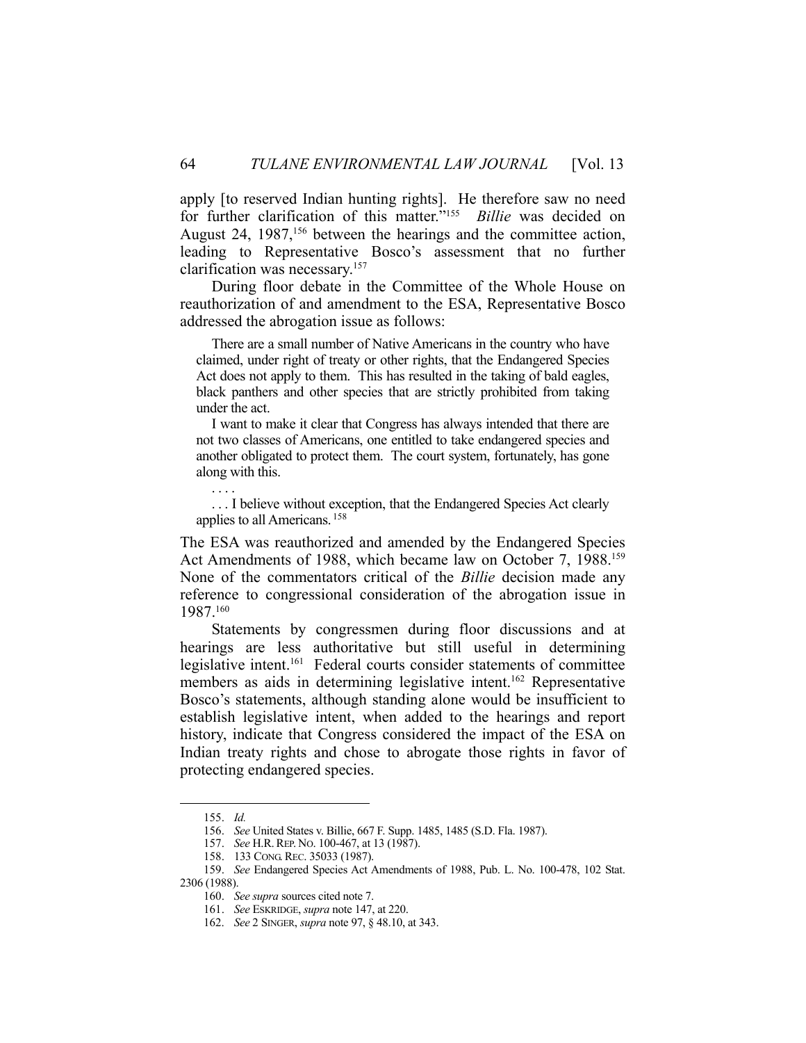apply [to reserved Indian hunting rights]. He therefore saw no need for further clarification of this matter."155 *Billie* was decided on August 24, 1987,<sup>156</sup> between the hearings and the committee action, leading to Representative Bosco's assessment that no further clarification was necessary.157

 During floor debate in the Committee of the Whole House on reauthorization of and amendment to the ESA, Representative Bosco addressed the abrogation issue as follows:

 There are a small number of Native Americans in the country who have claimed, under right of treaty or other rights, that the Endangered Species Act does not apply to them. This has resulted in the taking of bald eagles, black panthers and other species that are strictly prohibited from taking under the act.

 I want to make it clear that Congress has always intended that there are not two classes of Americans, one entitled to take endangered species and another obligated to protect them. The court system, fortunately, has gone along with this.

 . . . I believe without exception, that the Endangered Species Act clearly applies to all Americans. 158

The ESA was reauthorized and amended by the Endangered Species Act Amendments of 1988, which became law on October 7, 1988.159 None of the commentators critical of the *Billie* decision made any reference to congressional consideration of the abrogation issue in 1987.160

 Statements by congressmen during floor discussions and at hearings are less authoritative but still useful in determining legislative intent.161 Federal courts consider statements of committee members as aids in determining legislative intent.<sup>162</sup> Representative Bosco's statements, although standing alone would be insufficient to establish legislative intent, when added to the hearings and report history, indicate that Congress considered the impact of the ESA on Indian treaty rights and chose to abrogate those rights in favor of protecting endangered species.

1

. . . .

 <sup>155.</sup> *Id.*

 <sup>156.</sup> *See* United States v. Billie, 667 F. Supp. 1485, 1485 (S.D. Fla. 1987).

 <sup>157.</sup> *See* H.R.REP. NO. 100-467, at 13 (1987).

 <sup>158. 133</sup> CONG.REC. 35033 (1987).

 <sup>159.</sup> *See* Endangered Species Act Amendments of 1988, Pub. L. No. 100-478, 102 Stat. 2306 (1988).

 <sup>160.</sup> *See supra* sources cited note 7.

 <sup>161.</sup> *See* ESKRIDGE, *supra* note 147, at 220.

 <sup>162.</sup> *See* 2 SINGER, *supra* note 97, § 48.10, at 343.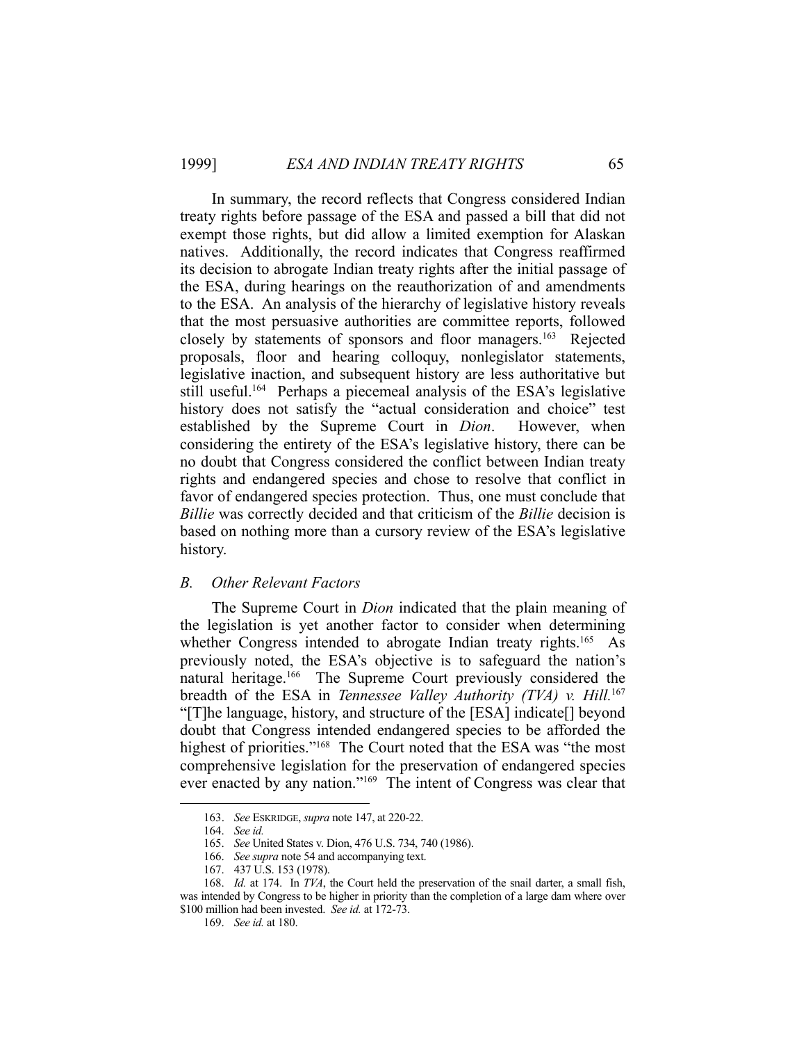In summary, the record reflects that Congress considered Indian treaty rights before passage of the ESA and passed a bill that did not exempt those rights, but did allow a limited exemption for Alaskan natives. Additionally, the record indicates that Congress reaffirmed its decision to abrogate Indian treaty rights after the initial passage of the ESA, during hearings on the reauthorization of and amendments to the ESA. An analysis of the hierarchy of legislative history reveals that the most persuasive authorities are committee reports, followed closely by statements of sponsors and floor managers.<sup>163</sup> Rejected proposals, floor and hearing colloquy, nonlegislator statements, legislative inaction, and subsequent history are less authoritative but still useful.164 Perhaps a piecemeal analysis of the ESA's legislative history does not satisfy the "actual consideration and choice" test established by the Supreme Court in *Dion*. However, when considering the entirety of the ESA's legislative history, there can be no doubt that Congress considered the conflict between Indian treaty rights and endangered species and chose to resolve that conflict in favor of endangered species protection. Thus, one must conclude that *Billie* was correctly decided and that criticism of the *Billie* decision is based on nothing more than a cursory review of the ESA's legislative history.

#### *B. Other Relevant Factors*

 The Supreme Court in *Dion* indicated that the plain meaning of the legislation is yet another factor to consider when determining whether Congress intended to abrogate Indian treaty rights.<sup>165</sup> As previously noted, the ESA's objective is to safeguard the nation's natural heritage.<sup>166</sup> The Supreme Court previously considered the breadth of the ESA in *Tennessee Valley Authority (TVA) v. Hill.*167 "[T]he language, history, and structure of the [ESA] indicate[] beyond doubt that Congress intended endangered species to be afforded the highest of priorities."<sup>168</sup> The Court noted that the ESA was "the most comprehensive legislation for the preservation of endangered species ever enacted by any nation."169 The intent of Congress was clear that

 <sup>163.</sup> *See* ESKRIDGE, *supra* note 147, at 220-22.

 <sup>164.</sup> *See id.*

 <sup>165.</sup> *See* United States v. Dion, 476 U.S. 734, 740 (1986).

 <sup>166.</sup> *See supra* note 54 and accompanying text.

 <sup>167. 437</sup> U.S. 153 (1978).

 <sup>168.</sup> *Id.* at 174. In *TVA*, the Court held the preservation of the snail darter, a small fish, was intended by Congress to be higher in priority than the completion of a large dam where over \$100 million had been invested. *See id.* at 172-73.

 <sup>169.</sup> *See id.* at 180.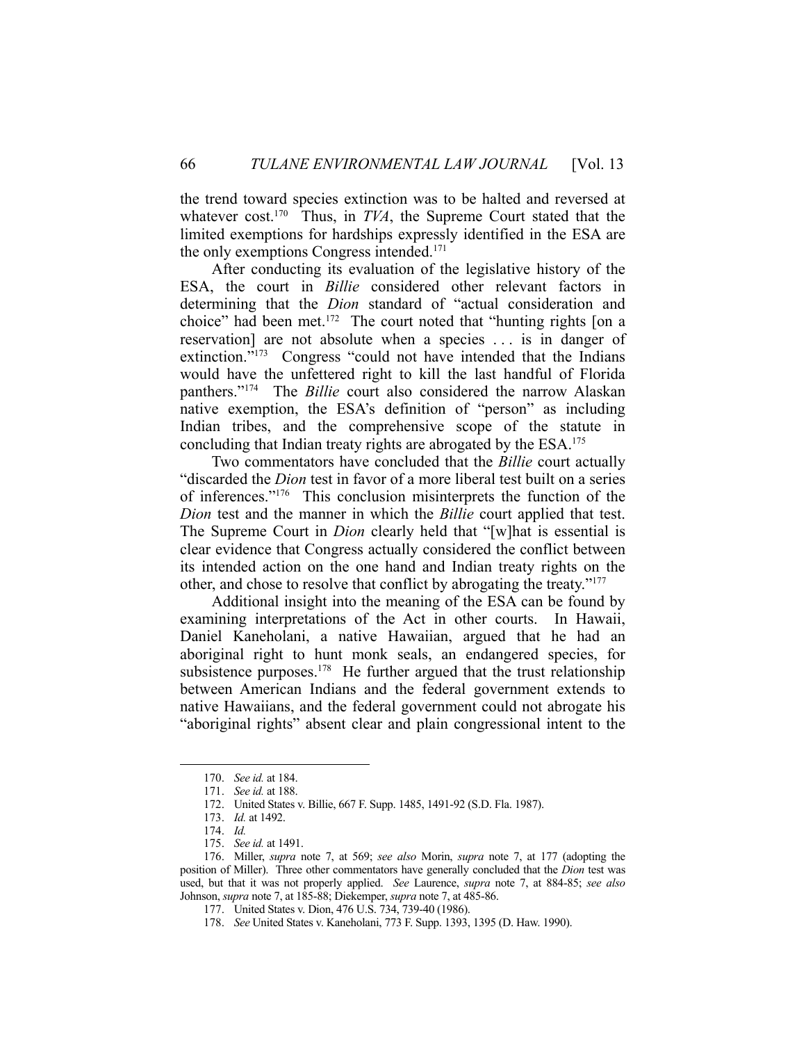the trend toward species extinction was to be halted and reversed at whatever cost.<sup>170</sup> Thus, in *TVA*, the Supreme Court stated that the limited exemptions for hardships expressly identified in the ESA are the only exemptions Congress intended.<sup>171</sup>

 After conducting its evaluation of the legislative history of the ESA, the court in *Billie* considered other relevant factors in determining that the *Dion* standard of "actual consideration and choice" had been met.172 The court noted that "hunting rights [on a reservation] are not absolute when a species . . . is in danger of extinction."<sup>173</sup> Congress "could not have intended that the Indians would have the unfettered right to kill the last handful of Florida panthers."174 The *Billie* court also considered the narrow Alaskan native exemption, the ESA's definition of "person" as including Indian tribes, and the comprehensive scope of the statute in concluding that Indian treaty rights are abrogated by the ESA.175

 Two commentators have concluded that the *Billie* court actually "discarded the *Dion* test in favor of a more liberal test built on a series of inferences."176 This conclusion misinterprets the function of the *Dion* test and the manner in which the *Billie* court applied that test. The Supreme Court in *Dion* clearly held that "[w]hat is essential is clear evidence that Congress actually considered the conflict between its intended action on the one hand and Indian treaty rights on the other, and chose to resolve that conflict by abrogating the treaty."177

 Additional insight into the meaning of the ESA can be found by examining interpretations of the Act in other courts. In Hawaii, Daniel Kaneholani, a native Hawaiian, argued that he had an aboriginal right to hunt monk seals, an endangered species, for subsistence purposes.<sup>178</sup> He further argued that the trust relationship between American Indians and the federal government extends to native Hawaiians, and the federal government could not abrogate his "aboriginal rights" absent clear and plain congressional intent to the

 <sup>170.</sup> *See id.* at 184.

 <sup>171.</sup> *See id.* at 188.

 <sup>172.</sup> United States v. Billie, 667 F. Supp. 1485, 1491-92 (S.D. Fla. 1987).

 <sup>173.</sup> *Id.* at 1492.

 <sup>174.</sup> *Id.*

 <sup>175.</sup> *See id.* at 1491.

 <sup>176.</sup> Miller, *supra* note 7, at 569; *see also* Morin, *supra* note 7, at 177 (adopting the position of Miller). Three other commentators have generally concluded that the *Dion* test was used, but that it was not properly applied. *See* Laurence, *supra* note 7, at 884-85; *see also*  Johnson, *supra* note 7, at 185-88; Diekemper, *supra* note 7, at 485-86.

 <sup>177.</sup> United States v. Dion, 476 U.S. 734, 739-40 (1986).

 <sup>178.</sup> *See* United States v. Kaneholani, 773 F. Supp. 1393, 1395 (D. Haw. 1990).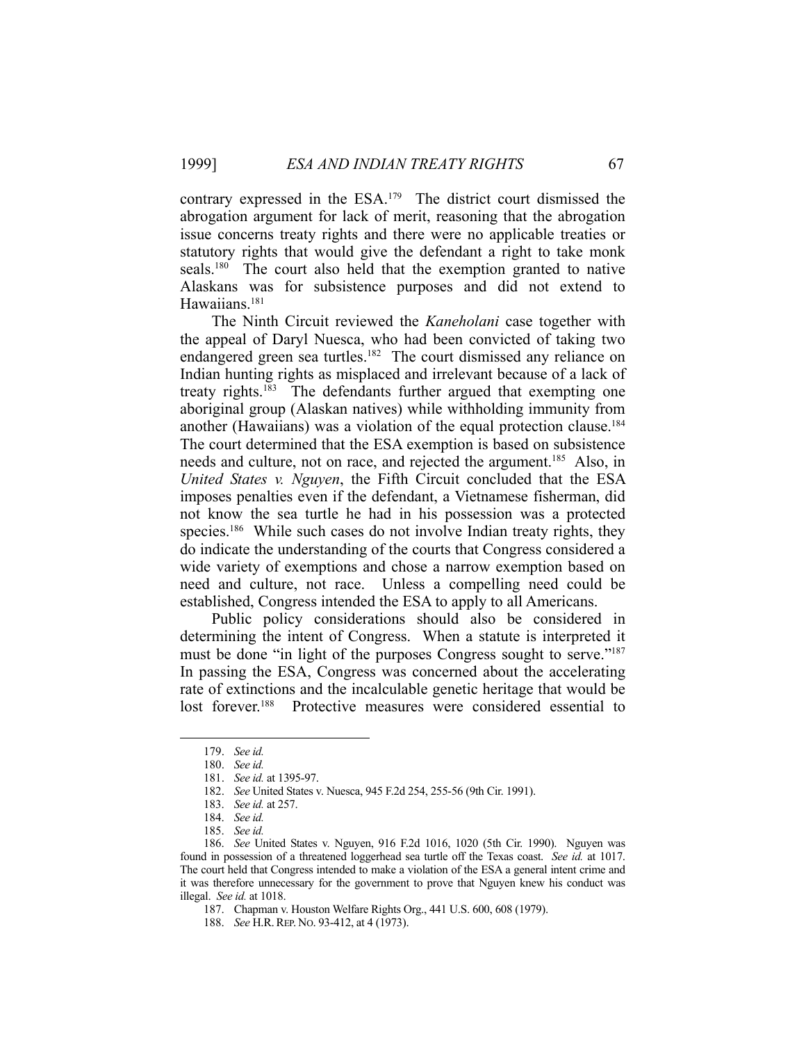contrary expressed in the ESA.179 The district court dismissed the abrogation argument for lack of merit, reasoning that the abrogation issue concerns treaty rights and there were no applicable treaties or statutory rights that would give the defendant a right to take monk seals.<sup>180</sup> The court also held that the exemption granted to native Alaskans was for subsistence purposes and did not extend to Hawaiians.<sup>181</sup>

 The Ninth Circuit reviewed the *Kaneholani* case together with the appeal of Daryl Nuesca, who had been convicted of taking two endangered green sea turtles.<sup>182</sup> The court dismissed any reliance on Indian hunting rights as misplaced and irrelevant because of a lack of treaty rights. $183$  The defendants further argued that exempting one aboriginal group (Alaskan natives) while withholding immunity from another (Hawaiians) was a violation of the equal protection clause.<sup>184</sup> The court determined that the ESA exemption is based on subsistence needs and culture, not on race, and rejected the argument.<sup>185</sup> Also, in *United States v. Nguyen*, the Fifth Circuit concluded that the ESA imposes penalties even if the defendant, a Vietnamese fisherman, did not know the sea turtle he had in his possession was a protected species.<sup>186</sup> While such cases do not involve Indian treaty rights, they do indicate the understanding of the courts that Congress considered a wide variety of exemptions and chose a narrow exemption based on need and culture, not race. Unless a compelling need could be established, Congress intended the ESA to apply to all Americans.

 Public policy considerations should also be considered in determining the intent of Congress. When a statute is interpreted it must be done "in light of the purposes Congress sought to serve."<sup>187</sup> In passing the ESA, Congress was concerned about the accelerating rate of extinctions and the incalculable genetic heritage that would be lost forever.<sup>188</sup> Protective measures were considered essential to Protective measures were considered essential to

 <sup>179.</sup> *See id.*

 <sup>180.</sup> *See id.*

 <sup>181.</sup> *See id.* at 1395-97.

 <sup>182.</sup> *See* United States v. Nuesca, 945 F.2d 254, 255-56 (9th Cir. 1991).

 <sup>183.</sup> *See id.* at 257.

 <sup>184.</sup> *See id.*

 <sup>185.</sup> *See id.*

 <sup>186.</sup> *See* United States v. Nguyen, 916 F.2d 1016, 1020 (5th Cir. 1990). Nguyen was found in possession of a threatened loggerhead sea turtle off the Texas coast. *See id.* at 1017. The court held that Congress intended to make a violation of the ESA a general intent crime and it was therefore unnecessary for the government to prove that Nguyen knew his conduct was illegal. *See id.* at 1018.

 <sup>187.</sup> Chapman v. Houston Welfare Rights Org., 441 U.S. 600, 608 (1979).

 <sup>188.</sup> *See* H.R.REP. NO. 93-412, at 4 (1973).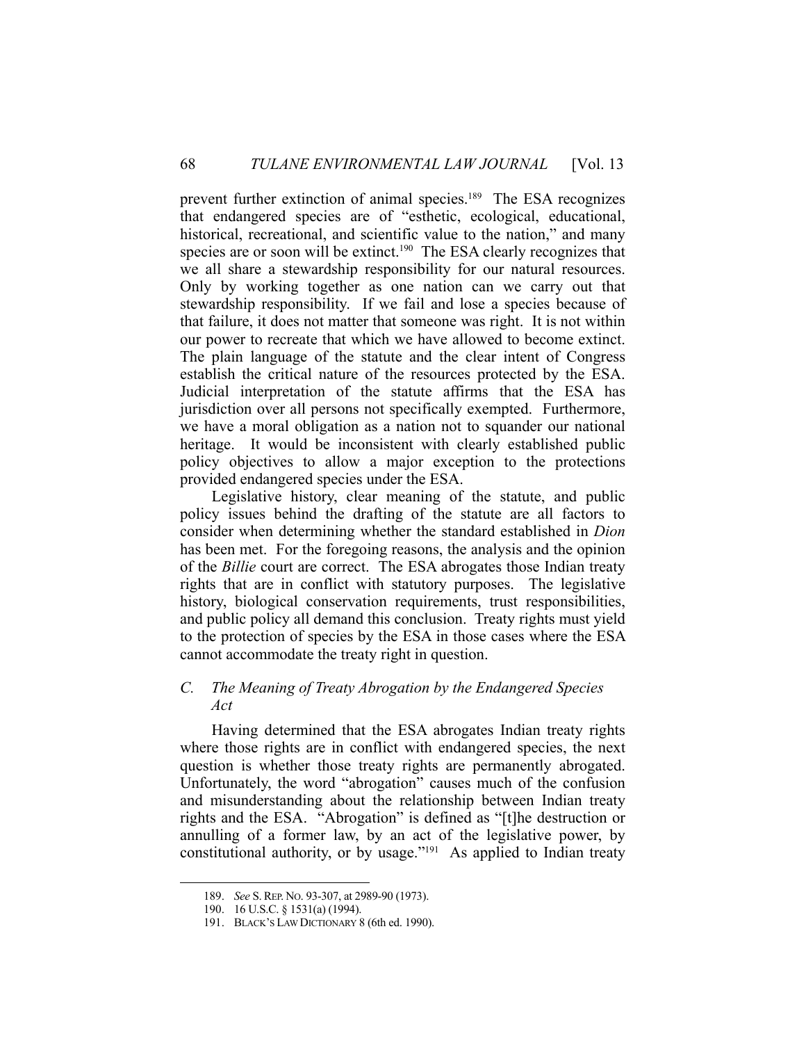prevent further extinction of animal species.<sup>189</sup> The ESA recognizes that endangered species are of "esthetic, ecological, educational, historical, recreational, and scientific value to the nation," and many species are or soon will be extinct.<sup>190</sup> The ESA clearly recognizes that we all share a stewardship responsibility for our natural resources. Only by working together as one nation can we carry out that stewardship responsibility. If we fail and lose a species because of that failure, it does not matter that someone was right. It is not within our power to recreate that which we have allowed to become extinct. The plain language of the statute and the clear intent of Congress establish the critical nature of the resources protected by the ESA. Judicial interpretation of the statute affirms that the ESA has jurisdiction over all persons not specifically exempted. Furthermore, we have a moral obligation as a nation not to squander our national heritage. It would be inconsistent with clearly established public policy objectives to allow a major exception to the protections provided endangered species under the ESA.

 Legislative history, clear meaning of the statute, and public policy issues behind the drafting of the statute are all factors to consider when determining whether the standard established in *Dion*  has been met. For the foregoing reasons, the analysis and the opinion of the *Billie* court are correct. The ESA abrogates those Indian treaty rights that are in conflict with statutory purposes. The legislative history, biological conservation requirements, trust responsibilities, and public policy all demand this conclusion. Treaty rights must yield to the protection of species by the ESA in those cases where the ESA cannot accommodate the treaty right in question.

## *C. The Meaning of Treaty Abrogation by the Endangered Species Act*

 Having determined that the ESA abrogates Indian treaty rights where those rights are in conflict with endangered species, the next question is whether those treaty rights are permanently abrogated. Unfortunately, the word "abrogation" causes much of the confusion and misunderstanding about the relationship between Indian treaty rights and the ESA. "Abrogation" is defined as "[t]he destruction or annulling of a former law, by an act of the legislative power, by constitutional authority, or by usage."191 As applied to Indian treaty

 <sup>189.</sup> *See* S.REP. NO. 93-307, at 2989-90 (1973).

 <sup>190. 16</sup> U.S.C. § 1531(a) (1994).

 <sup>191.</sup> BLACK'S LAW DICTIONARY 8 (6th ed. 1990).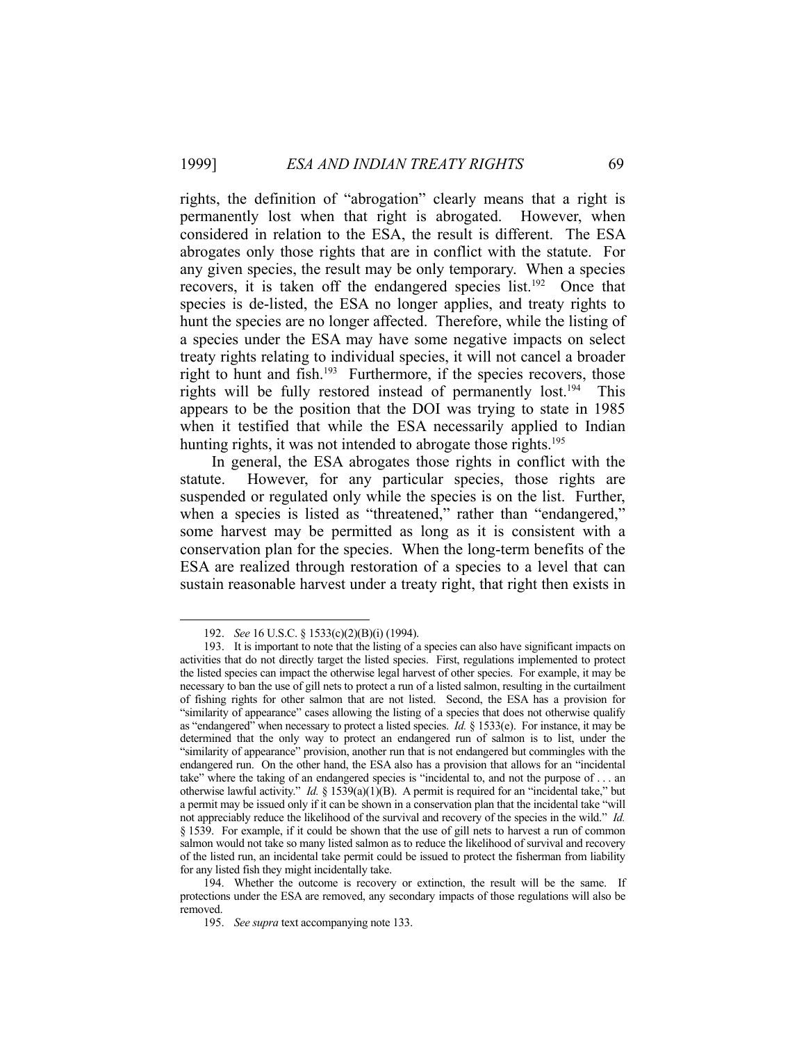rights, the definition of "abrogation" clearly means that a right is permanently lost when that right is abrogated. However, when considered in relation to the ESA, the result is different. The ESA abrogates only those rights that are in conflict with the statute. For any given species, the result may be only temporary. When a species recovers, it is taken off the endangered species list.<sup>192</sup> Once that species is de-listed, the ESA no longer applies, and treaty rights to hunt the species are no longer affected. Therefore, while the listing of a species under the ESA may have some negative impacts on select treaty rights relating to individual species, it will not cancel a broader right to hunt and fish.<sup>193</sup> Furthermore, if the species recovers, those rights will be fully restored instead of permanently lost.194 This appears to be the position that the DOI was trying to state in 1985 when it testified that while the ESA necessarily applied to Indian hunting rights, it was not intended to abrogate those rights.<sup>195</sup>

 In general, the ESA abrogates those rights in conflict with the statute. However, for any particular species, those rights are suspended or regulated only while the species is on the list. Further, when a species is listed as "threatened," rather than "endangered," some harvest may be permitted as long as it is consistent with a conservation plan for the species. When the long-term benefits of the ESA are realized through restoration of a species to a level that can sustain reasonable harvest under a treaty right, that right then exists in

 <sup>192.</sup> *See* 16 U.S.C. § 1533(c)(2)(B)(i) (1994).

 <sup>193.</sup> It is important to note that the listing of a species can also have significant impacts on activities that do not directly target the listed species. First, regulations implemented to protect the listed species can impact the otherwise legal harvest of other species. For example, it may be necessary to ban the use of gill nets to protect a run of a listed salmon, resulting in the curtailment of fishing rights for other salmon that are not listed. Second, the ESA has a provision for "similarity of appearance" cases allowing the listing of a species that does not otherwise qualify as "endangered" when necessary to protect a listed species. *Id.* § 1533(e). For instance, it may be determined that the only way to protect an endangered run of salmon is to list, under the "similarity of appearance" provision, another run that is not endangered but commingles with the endangered run. On the other hand, the ESA also has a provision that allows for an "incidental take" where the taking of an endangered species is "incidental to, and not the purpose of . . . an otherwise lawful activity." *Id.* § 1539(a)(1)(B). A permit is required for an "incidental take," but a permit may be issued only if it can be shown in a conservation plan that the incidental take "will not appreciably reduce the likelihood of the survival and recovery of the species in the wild." *Id.* § 1539. For example, if it could be shown that the use of gill nets to harvest a run of common salmon would not take so many listed salmon as to reduce the likelihood of survival and recovery of the listed run, an incidental take permit could be issued to protect the fisherman from liability for any listed fish they might incidentally take.

 <sup>194.</sup> Whether the outcome is recovery or extinction, the result will be the same. If protections under the ESA are removed, any secondary impacts of those regulations will also be removed.

 <sup>195.</sup> *See supra* text accompanying note 133.